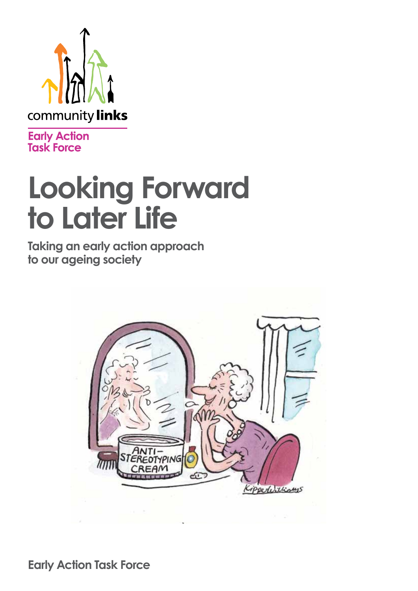

**Early Action**<br>Task Force

# **Looking Forward to Later Life**

**Taking an early action approach to our ageing society**



**Early Action Task Force**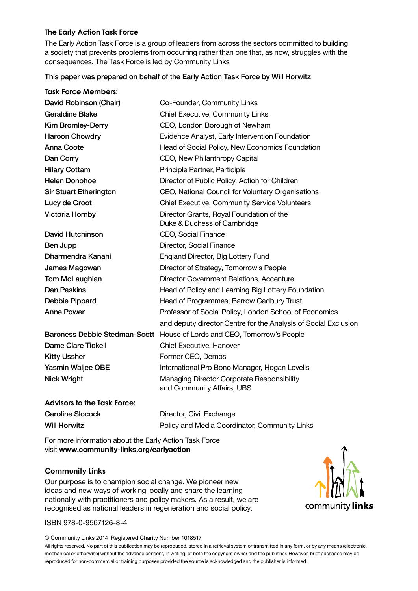#### **The Early Action Task Force**

**Task Force Members:**

The Early Action Task Force is a group of leaders from across the sectors committed to building a society that prevents problems from occurring rather than one that, as now, struggles with the consequences. The Task Force is led by Community Links

#### This paper was prepared on behalf of the Early Action Task Force by Will Horwitz

| David Robinson (Chair)             | Co-Founder, Community Links                                              |  |
|------------------------------------|--------------------------------------------------------------------------|--|
| <b>Geraldine Blake</b>             | <b>Chief Executive, Community Links</b>                                  |  |
| <b>Kim Bromley-Derry</b>           | CEO, London Borough of Newham                                            |  |
| <b>Haroon Chowdry</b>              | Evidence Analyst, Early Intervention Foundation                          |  |
| <b>Anna Coote</b>                  | Head of Social Policy, New Economics Foundation                          |  |
| Dan Corry                          | CEO, New Philanthropy Capital                                            |  |
| <b>Hilary Cottam</b>               | Principle Partner, Participle                                            |  |
| <b>Helen Donohoe</b>               | Director of Public Policy, Action for Children                           |  |
| <b>Sir Stuart Etherington</b>      | CEO, National Council for Voluntary Organisations                        |  |
| Lucy de Groot                      | <b>Chief Executive, Community Service Volunteers</b>                     |  |
| <b>Victoria Hornby</b>             | Director Grants, Royal Foundation of the<br>Duke & Duchess of Cambridge  |  |
| <b>David Hutchinson</b>            | CEO, Social Finance                                                      |  |
| Ben Jupp                           | Director, Social Finance                                                 |  |
| Dharmendra Kanani                  | England Director, Big Lottery Fund                                       |  |
| James Magowan                      | Director of Strategy, Tomorrow's People                                  |  |
| Tom McLaughlan                     | Director Government Relations, Accenture                                 |  |
| <b>Dan Paskins</b>                 | Head of Policy and Learning Big Lottery Foundation                       |  |
| Debbie Pippard                     | Head of Programmes, Barrow Cadbury Trust                                 |  |
| <b>Anne Power</b>                  | Professor of Social Policy, London School of Economics                   |  |
|                                    | and deputy director Centre for the Analysis of Social Exclusion          |  |
|                                    | Baroness Debbie Stedman-Scott House of Lords and CEO, Tomorrow's People  |  |
| <b>Dame Clare Tickell</b>          | Chief Executive, Hanover                                                 |  |
| <b>Kitty Ussher</b>                | Former CEO, Demos                                                        |  |
| <b>Yasmin Waljee OBE</b>           | International Pro Bono Manager, Hogan Lovells                            |  |
| <b>Nick Wright</b>                 | Managing Director Corporate Responsibility<br>and Community Affairs, UBS |  |
| <b>Advisors to the Task Force:</b> |                                                                          |  |

Caroline Slocock Director, Civil Exchange Will Horwitz **Will Horwitz** Policy and Media Coordinator, Community Links

For more information about the Early Action Task Force visit **www.community-links.org/earlyaction**

#### **Community Links**

Our purpose is to champion social change. We pioneer new ideas and new ways of working locally and share the learning nationally with practitioners and policy makers. As a result, we are recognised as national leaders in regeneration and social policy.

#### ISBN 978-0-9567126-8-4

© Community Links 2014 Registered Charity Number 1018517

community links

All rights reserved. No part of this publication may be reproduced, stored in a retrieval system or transmitted in any form, or by any means (electronic, mechanical or otherwise) without the advance consent, in writing, of both the copyright owner and the publisher. However, brief passages may be reproduced for non-commercial or training purposes provided the source is acknowledged and the publisher is informed.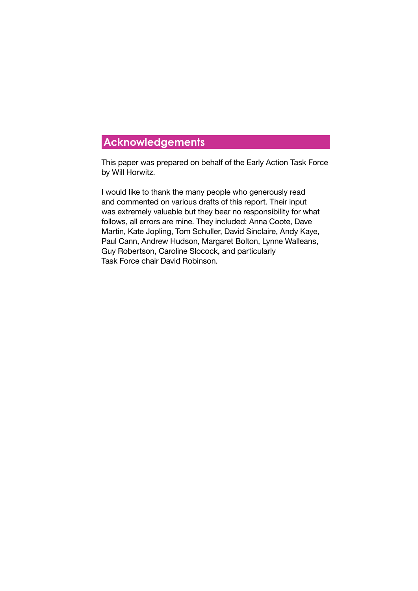### **Acknowledgements**

This paper was prepared on behalf of the Early Action Task Force by Will Horwitz.

I would like to thank the many people who generously read and commented on various drafts of this report. Their input was extremely valuable but they bear no responsibility for what follows, all errors are mine. They included: Anna Coote, Dave Martin, Kate Jopling, Tom Schuller, David Sinclaire, Andy Kaye, Paul Cann, Andrew Hudson, Margaret Bolton, Lynne Walleans, Guy Robertson, Caroline Slocock, and particularly Task Force chair David Robinson.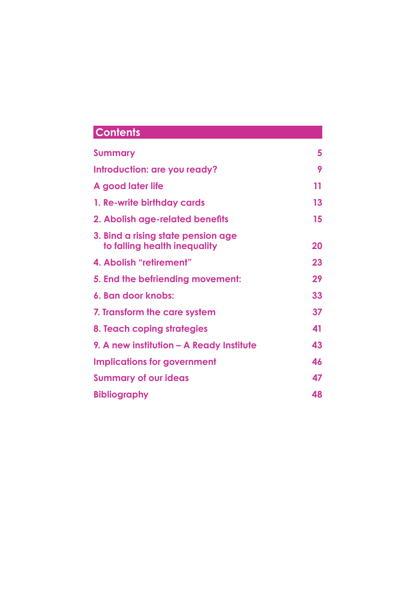### **Contents**

| <b>Summary</b>                                                     | 5  |
|--------------------------------------------------------------------|----|
| Introduction: are you ready?                                       | 9  |
| A good later life                                                  | 11 |
| 1. Re-write birthday cards                                         | 13 |
| 2. Abolish age-related benefits                                    | 15 |
| 3. Bind a rising state pension age<br>to falling health inequality | 20 |
| 4. Abolish "retirement"                                            | 23 |
| 5. End the befriending movement:                                   | 29 |
| 6. Ban door knobs:                                                 | 33 |
| 7. Transform the care system                                       | 37 |
| 8. Teach coping strategies                                         | 41 |
| 9. A new institution – A Ready Institute                           | 43 |
| <b>Implications for government</b>                                 | 46 |
| <b>Summary of our ideas</b>                                        | 47 |
| <b>Bibliography</b>                                                | 48 |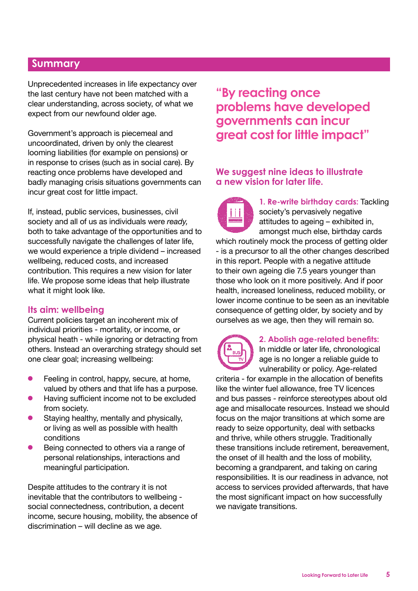### **Summary**

Unprecedented increases in life expectancy over the last century have not been matched with a clear understanding, across society, of what we expect from our newfound older age.

Government's approach is piecemeal and uncoordinated, driven by only the clearest looming liabilities (for example on pensions) or in response to crises (such as in social care). By reacting once problems have developed and badly managing crisis situations governments can incur great cost for little impact.

If, instead, public services, businesses, civil society and all of us as individuals were *ready,*  both to take advantage of the opportunities and to successfully navigate the challenges of later life, we would experience a triple dividend – increased wellbeing, reduced costs, and increased contribution. This requires a new vision for later life. We propose some ideas that help illustrate what it might look like.

### **Its aim: wellbeing**

Current policies target an incoherent mix of individual priorities - mortality, or income, or physical heath - while ignoring or detracting from others. Instead an overarching strategy should set one clear goal; increasing wellbeing:

- $\bullet$  Feeling in control, happy, secure, at home, valued by others and that life has a purpose.
- **•** Having sufficient income not to be excluded from society.
- $\bullet$  Staying healthy, mentally and physically, or living as well as possible with health conditions
- Being connected to others via a range of personal relationships, interactions and meaningful participation.

Despite attitudes to the contrary it is not inevitable that the contributors to wellbeing social connectedness, contribution, a decent income, secure housing, mobility, the absence of discrimination – will decline as we age.

### **"By reacting once problems have developed governments can incur great cost for little impact"**

### **We suggest nine ideas to illustrate a new vision for later life.**



**1. Re-write birthday cards:** Tackling society's pervasively negative attitudes to ageing – exhibited in, amongst much else, birthday cards

which routinely mock the process of getting older - is a precursor to all the other changes described in this report. People with a negative attitude to their own ageing die 7.5 years younger than those who look on it more positively. And if poor health, increased loneliness, reduced mobility, or lower income continue to be seen as an inevitable consequence of getting older, by society and by ourselves as we age, then they will remain so.



#### **2. Abolish age-related benefits:**

In middle or later life, chronological age is no longer a reliable guide to vulnerability or policy. Age-related

criteria - for example in the allocation of benefits like the winter fuel allowance, free TV licences and bus passes - reinforce stereotypes about old age and misallocate resources. Instead we should focus on the major transitions at which some are ready to seize opportunity, deal with setbacks and thrive, while others struggle. Traditionally these transitions include retirement, bereavement, the onset of ill health and the loss of mobility, becoming a grandparent, and taking on caring responsibilities. It is our readiness in advance, not access to services provided afterwards, that have the most significant impact on how successfully we navigate transitions.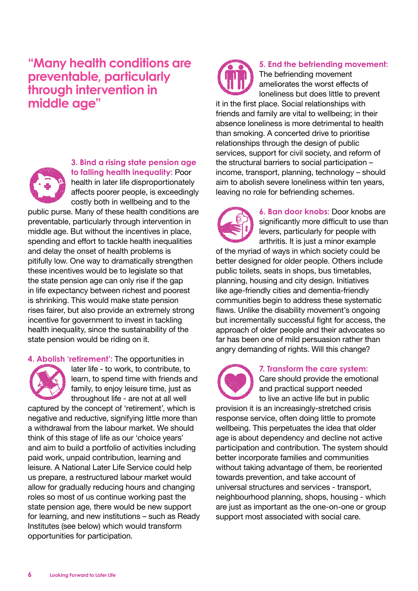**"Many health conditions are preventable, particularly through intervention in middle age"**



**3. Bind a rising state pension age to falling health inequality:** Poor health in later life disproportionately affects poorer people, is exceedingly costly both in wellbeing and to the

public purse. Many of these health conditions are preventable, particularly through intervention in middle age. But without the incentives in place, spending and effort to tackle health inequalities and delay the onset of health problems is pitifully low. One way to dramatically strengthen these incentives would be to legislate so that the state pension age can only rise if the gap in life expectancy between richest and poorest is shrinking. This would make state pension rises fairer, but also provide an extremely strong incentive for government to invest in tackling health inequality, since the sustainability of the state pension would be riding on it.

**4. Abolish 'retirement':** The opportunities in



later life - to work, to contribute, to learn, to spend time with friends and family, to enjoy leisure time, just as throughout life - are not at all well

captured by the concept of 'retirement', which is negative and reductive, signifying little more than a withdrawal from the labour market. We should think of this stage of life as our 'choice years' and aim to build a portfolio of activities including paid work, unpaid contribution, learning and leisure. A National Later Life Service could help us prepare, a restructured labour market would allow for gradually reducing hours and changing roles so most of us continue working past the state pension age, there would be new support for learning, and new institutions – such as Ready Institutes (see below) which would transform opportunities for participation.



**5. End the befriending movement:** The befriending movement ameliorates the worst effects of loneliness but does little to prevent

it in the first place. Social relationships with friends and family are vital to wellbeing; in their absence loneliness is more detrimental to health than smoking. A concerted drive to prioritise relationships through the design of public services, support for civil society, and reform of the structural barriers to social participation – income, transport, planning, technology – should aim to abolish severe loneliness within ten years, leaving no role for befriending schemes.

**6. Ban door knobs:** Door knobs are significantly more difficult to use than levers, particularly for people with arthritis. It is just a minor example

of the myriad of ways in which society could be better designed for older people. Others include public toilets, seats in shops, bus timetables, planning, housing and city design. Initiatives like age-friendly cities and dementia-friendly communities begin to address these systematic flaws. Unlike the disability movement's ongoing but incrementally successful fight for access, the approach of older people and their advocates so far has been one of mild persuasion rather than angry demanding of rights. Will this change?

> **7. Transform the care system:**  Care should provide the emotional and practical support needed

to live an active life but in public provision it is an increasingly-stretched crisis response service, often doing little to promote wellbeing. This perpetuates the idea that older age is about dependency and decline not active participation and contribution. The system should better incorporate families and communities without taking advantage of them, be reoriented towards prevention, and take account of universal structures and services - transport, neighbourhood planning, shops, housing - which are just as important as the one-on-one or group support most associated with social care.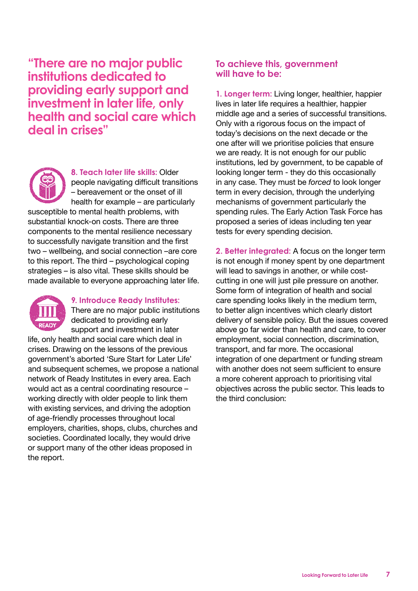**"There are no major public institutions dedicated to providing early support and investment in later life, only health and social care which deal in crises"**



**8. Teach later life skills:** Older people navigating difficult transitions – bereavement or the onset of ill health for example – are particularly

susceptible to mental health problems, with substantial knock-on costs. There are three components to the mental resilience necessary to successfully navigate transition and the first two – wellbeing, and social connection –are core to this report. The third – psychological coping strategies – is also vital. These skills should be made available to everyone approaching later life.



#### **9. Introduce Ready Institutes:**

There are no major public institutions dedicated to providing early support and investment in later

life, only health and social care which deal in crises. Drawing on the lessons of the previous government's aborted 'Sure Start for Later Life' and subsequent schemes, we propose a national network of Ready Institutes in every area. Each would act as a central coordinating resource – working directly with older people to link them with existing services, and driving the adoption of age-friendly processes throughout local employers, charities, shops, clubs, churches and societies. Coordinated locally, they would drive or support many of the other ideas proposed in the report.

### **To achieve this, government will have to be:**

**1. Longer term:** Living longer, healthier, happier lives in later life requires a healthier, happier middle age and a series of successful transitions. Only with a rigorous focus on the impact of today's decisions on the next decade or the one after will we prioritise policies that ensure we are ready. It is not enough for our public institutions, led by government, to be capable of looking longer term - they do this occasionally in any case. They must be *forced* to look longer term in every decision, through the underlying mechanisms of government particularly the spending rules. The Early Action Task Force has proposed a series of ideas including ten year tests for every spending decision.

**2. Better integrated:** A focus on the longer term is not enough if money spent by one department will lead to savings in another, or while costcutting in one will just pile pressure on another. Some form of integration of health and social care spending looks likely in the medium term, to better align incentives which clearly distort delivery of sensible policy. But the issues covered above go far wider than health and care, to cover employment, social connection, discrimination, transport, and far more. The occasional integration of one department or funding stream with another does not seem sufficient to ensure a more coherent approach to prioritising vital objectives across the public sector. This leads to the third conclusion: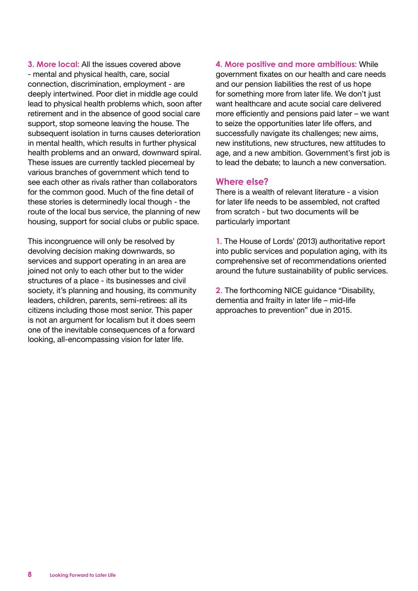**3. More local:** All the issues covered above - mental and physical health, care, social connection, discrimination, employment - are deeply intertwined. Poor diet in middle age could lead to physical health problems which, soon after retirement and in the absence of good social care support, stop someone leaving the house. The subsequent isolation in turns causes deterioration in mental health, which results in further physical health problems and an onward, downward spiral. These issues are currently tackled piecemeal by various branches of government which tend to see each other as rivals rather than collaborators for the common good. Much of the fine detail of these stories is determinedly local though - the route of the local bus service, the planning of new housing, support for social clubs or public space.

This incongruence will only be resolved by devolving decision making downwards, so services and support operating in an area are joined not only to each other but to the wider structures of a place - its businesses and civil society, it's planning and housing, its community leaders, children, parents, semi-retirees: all its citizens including those most senior. This paper is not an argument for localism but it does seem one of the inevitable consequences of a forward looking, all-encompassing vision for later life.

**4. More positive and more ambitious:** While government fixates on our health and care needs and our pension liabilities the rest of us hope for something more from later life. We don't just want healthcare and acute social care delivered more efficiently and pensions paid later – we want to seize the opportunities later life offers, and successfully navigate its challenges; new aims, new institutions, new structures, new attitudes to age, and a new ambition. Government's first job is to lead the debate; to launch a new conversation.

### **Where else?**

There is a wealth of relevant literature - a vision for later life needs to be assembled, not crafted from scratch - but two documents will be particularly important

**1.** The House of Lords' (2013) authoritative report into public services and population aging, with its comprehensive set of recommendations oriented around the future sustainability of public services.

**2.** The forthcoming NICE guidance "Disability, dementia and frailty in later life – mid-life approaches to prevention" due in 2015.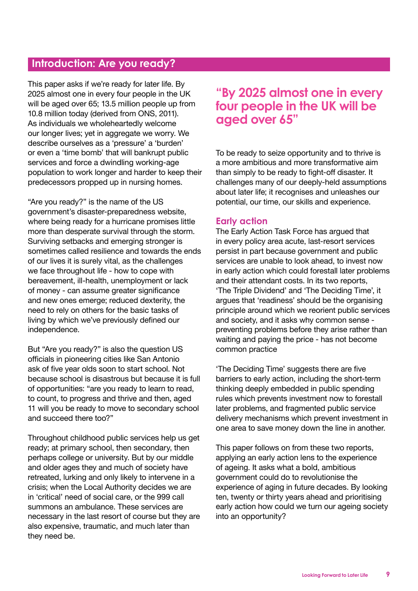### **Introduction: Are you ready?**

This paper asks if we're ready for later life. By 2025 almost one in every four people in the UK will be aged over 65; 13.5 million people up from 10.8 million today (derived from ONS, 2011). As individuals we wholeheartedly welcome our longer lives; yet in aggregate we worry. We describe ourselves as a 'pressure' a 'burden' or even a 'time bomb' that will bankrupt public services and force a dwindling working-age population to work longer and harder to keep their predecessors propped up in nursing homes.

"Are you ready?" is the name of the US government's disaster-preparedness website, where being ready for a hurricane promises little more than desperate survival through the storm. Surviving setbacks and emerging stronger is sometimes called resilience and towards the ends of our lives it is surely vital, as the challenges we face throughout life - how to cope with bereavement, ill-health, unemployment or lack of money - can assume greater significance and new ones emerge; reduced dexterity, the need to rely on others for the basic tasks of living by which we've previously defined our independence.

But "Are you ready?" is also the question US officials in pioneering cities like San Antonio ask of five year olds soon to start school. Not because school is disastrous but because it is full of opportunities: "are you ready to learn to read, to count, to progress and thrive and then, aged 11 will you be ready to move to secondary school and succeed there too?"

Throughout childhood public services help us get ready; at primary school, then secondary, then perhaps college or university. But by our middle and older ages they and much of society have retreated, lurking and only likely to intervene in a crisis; when the Local Authority decides we are in 'critical' need of social care, or the 999 call summons an ambulance. These services are necessary in the last resort of course but they are also expensive, traumatic, and much later than they need be.

### **"By 2025 almost one in every four people in the UK will be aged over 65"**

To be ready to seize opportunity and to thrive is a more ambitious and more transformative aim than simply to be ready to fight-off disaster. It challenges many of our deeply-held assumptions about later life; it recognises and unleashes our potential, our time, our skills and experience.

### **Early action**

The Early Action Task Force has argued that in every policy area acute, last-resort services persist in part because government and public services are unable to look ahead, to invest now in early action which could forestall later problems and their attendant costs. In its two reports, 'The Triple Dividend' and 'The Deciding Time', it argues that 'readiness' should be the organising principle around which we reorient public services and society, and it asks why common sense preventing problems before they arise rather than waiting and paying the price - has not become common practice

'The Deciding Time' suggests there are five barriers to early action, including the short-term thinking deeply embedded in public spending rules which prevents investment now to forestall later problems, and fragmented public service delivery mechanisms which prevent investment in one area to save money down the line in another.

This paper follows on from these two reports, applying an early action lens to the experience of ageing. It asks what a bold, ambitious government could do to revolutionise the experience of aging in future decades. By looking ten, twenty or thirty years ahead and prioritising early action how could we turn our ageing society into an opportunity?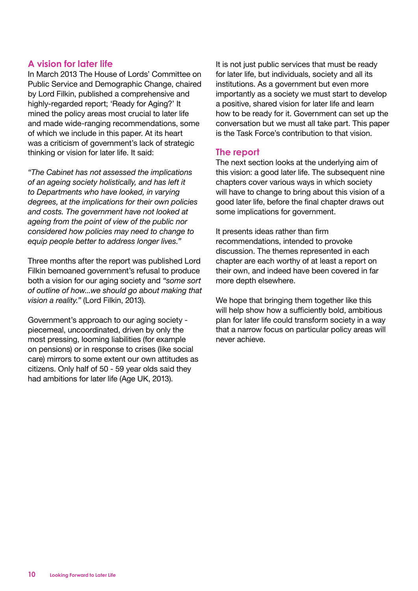### **A vision for later life**

In March 2013 The House of Lords' Committee on Public Service and Demographic Change, chaired by Lord Filkin, published a comprehensive and highly-regarded report; 'Ready for Aging?' It mined the policy areas most crucial to later life and made wide-ranging recommendations, some of which we include in this paper. At its heart was a criticism of government's lack of strategic thinking or vision for later life. It said:

*"The Cabinet has not assessed the implications of an ageing society holistically, and has left it to Departments who have looked, in varying degrees, at the implications for their own policies and costs. The government have not looked at ageing from the point of view of the public nor considered how policies may need to change to equip people better to address longer lives."*

Three months after the report was published Lord Filkin bemoaned government's refusal to produce both a vision for our aging society and *"some sort of outline of how...we should go about making that vision a reality."* (Lord Filkin, 2013).

Government's approach to our aging society piecemeal, uncoordinated, driven by only the most pressing, looming liabilities (for example on pensions) or in response to crises (like social care) mirrors to some extent our own attitudes as citizens. Only half of 50 - 59 year olds said they had ambitions for later life (Age UK, 2013).

It is not just public services that must be ready for later life, but individuals, society and all its institutions. As a government but even more importantly as a society we must start to develop a positive, shared vision for later life and learn how to be ready for it. Government can set up the conversation but we must all take part. This paper is the Task Force's contribution to that vision.

#### **The report**

The next section looks at the underlying aim of this vision: a good later life. The subsequent nine chapters cover various ways in which society will have to change to bring about this vision of a good later life, before the final chapter draws out some implications for government.

It presents ideas rather than firm recommendations, intended to provoke discussion. The themes represented in each chapter are each worthy of at least a report on their own, and indeed have been covered in far more depth elsewhere.

We hope that bringing them together like this will help show how a sufficiently bold, ambitious plan for later life could transform society in a way that a narrow focus on particular policy areas will never achieve.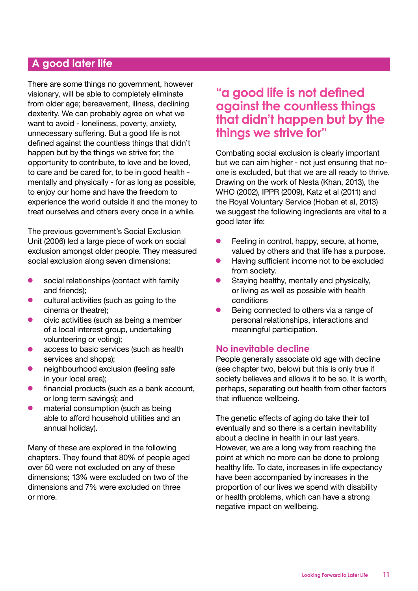### **A good later life**

There are some things no government, however visionary, will be able to completely eliminate from older age; bereavement, illness, declining dexterity. We can probably agree on what we want to avoid - loneliness, poverty, anxiety, unnecessary suffering. But a good life is not defined against the countless things that didn't happen but by the things we strive for; the opportunity to contribute, to love and be loved, to care and be cared for, to be in good health mentally and physically - for as long as possible, to enjoy our home and have the freedom to experience the world outside it and the money to treat ourselves and others every once in a while.

The previous government's Social Exclusion Unit (2006) led a large piece of work on social exclusion amongst older people. They measured social exclusion along seven dimensions:

- $\bullet$  social relationships (contact with family and friends);
- $\bullet$  cultural activities (such as going to the cinema or theatre);
- $\bullet$  civic activities (such as being a member of a local interest group, undertaking volunteering or voting);
- $\bullet$  access to basic services (such as health services and shops);
- **•** neighbourhood exclusion (feeling safe in your local area);
- $\bullet$  financial products (such as a bank account, or long term savings); and
- material consumption (such as being able to afford household utilities and an annual holiday).

Many of these are explored in the following chapters. They found that 80% of people aged over 50 were not excluded on any of these dimensions; 13% were excluded on two of the dimensions and 7% were excluded on three or more.

### **"a good life is not defined against the countless things that didn't happen but by the things we strive for"**

Combating social exclusion is clearly important but we can aim higher - not just ensuring that noone is excluded, but that we are all ready to thrive. Drawing on the work of Nesta (Khan, 2013), the WHO (2002), IPPR (2009), Katz et al (2011) and the Royal Voluntary Service (Hoban et al, 2013) we suggest the following ingredients are vital to a good later life:

- Feeling in control, happy, secure, at home, valued by others and that life has a purpose.
- l Having sufficient income not to be excluded from society.
- Staving healthy, mentally and physically, or living as well as possible with health conditions
- Being connected to others via a range of personal relationships, interactions and meaningful participation.

### **No inevitable decline**

People generally associate old age with decline (see chapter two, below) but this is only true if society believes and allows it to be so. It is worth, perhaps, separating out health from other factors that influence wellbeing.

The genetic effects of aging do take their toll eventually and so there is a certain inevitability about a decline in health in our last years. However, we are a long way from reaching the point at which no more can be done to prolong healthy life. To date, increases in life expectancy have been accompanied by increases in the proportion of our lives we spend with disability or health problems, which can have a strong negative impact on wellbeing.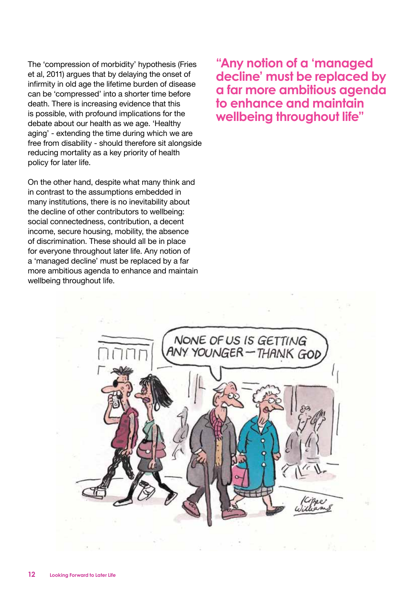The 'compression of morbidity' hypothesis (Fries et al, 2011) argues that by delaying the onset of infirmity in old age the lifetime burden of disease can be 'compressed' into a shorter time before death. There is increasing evidence that this is possible, with profound implications for the debate about our health as we age. 'Healthy aging' - extending the time during which we are free from disability - should therefore sit alongside reducing mortality as a key priority of health policy for later life.

On the other hand, despite what many think and in contrast to the assumptions embedded in many institutions, there is no inevitability about the decline of other contributors to wellbeing: social connectedness, contribution, a decent income, secure housing, mobility, the absence of discrimination. These should all be in place for everyone throughout later life. Any notion of a 'managed decline' must be replaced by a far more ambitious agenda to enhance and maintain wellbeing throughout life.

**"Any notion of a 'managed decline' must be replaced by a far more ambitious agenda to enhance and maintain wellbeing throughout life"**

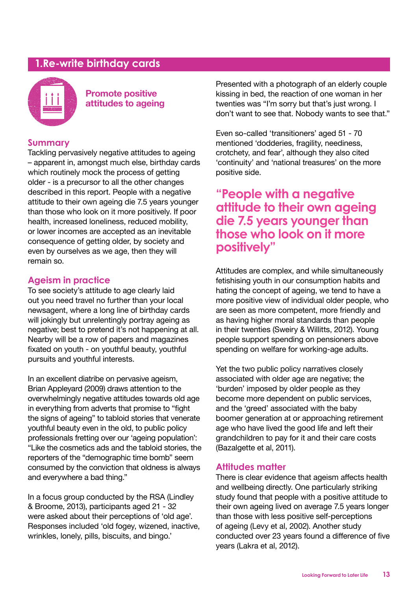### **1.Re-write birthday cards**



**Promote positive attitudes to ageing**

### **Summary**

Tackling pervasively negative attitudes to ageing – apparent in, amongst much else, birthday cards which routinely mock the process of getting older - is a precursor to all the other changes described in this report. People with a negative attitude to their own ageing die 7.5 years younger than those who look on it more positively. If poor health, increased loneliness, reduced mobility, or lower incomes are accepted as an inevitable consequence of getting older, by society and even by ourselves as we age, then they will remain so.

### **Ageism in practice**

To see society's attitude to age clearly laid out you need travel no further than your local newsagent, where a long line of birthday cards will jokingly but unrelentingly portray ageing as negative; best to pretend it's not happening at all. Nearby will be a row of papers and magazines fixated on youth - on youthful beauty, youthful pursuits and youthful interests.

In an excellent diatribe on pervasive ageism, Brian Appleyard (2009) draws attention to the overwhelmingly negative attitudes towards old age in everything from adverts that promise to "fight the signs of ageing" to tabloid stories that venerate youthful beauty even in the old, to public policy professionals fretting over our 'ageing population': "Like the cosmetics ads and the tabloid stories, the reporters of the "demographic time bomb" seem consumed by the conviction that oldness is always and everywhere a bad thing."

In a focus group conducted by the RSA (Lindley & Broome, 2013), participants aged 21 - 32 were asked about their perceptions of 'old age'. Responses included 'old fogey, wizened, inactive, wrinkles, lonely, pills, biscuits, and bingo.'

Presented with a photograph of an elderly couple kissing in bed, the reaction of one woman in her twenties was "I'm sorry but that's just wrong. I don't want to see that. Nobody wants to see that."

Even so-called 'transitioners' aged 51 - 70 mentioned 'dodderies, fragility, neediness, crotchety, and fear', although they also cited 'continuity' and 'national treasures' on the more positive side.

### **"People with a negative attitude to their own ageing die 7.5 years younger than those who look on it more positively"**

Attitudes are complex, and while simultaneously fetishising youth in our consumption habits and hating the concept of ageing, we tend to have a more positive view of individual older people, who are seen as more competent, more friendly and as having higher moral standards than people in their twenties (Sweiry & Willitts, 2012). Young people support spending on pensioners above spending on welfare for working-age adults.

Yet the two public policy narratives closely associated with older age are negative; the 'burden' imposed by older people as they become more dependent on public services, and the 'greed' associated with the baby boomer generation at or approaching retirement age who have lived the good life and left their grandchildren to pay for it and their care costs (Bazalgette et al, 2011).

### **Attitudes matter**

There is clear evidence that ageism affects health and wellbeing directly. One particularly striking study found that people with a positive attitude to their own ageing lived on average 7.5 years longer than those with less positive self-perceptions of ageing (Levy et al, 2002). Another study conducted over 23 years found a difference of five years (Lakra et al, 2012).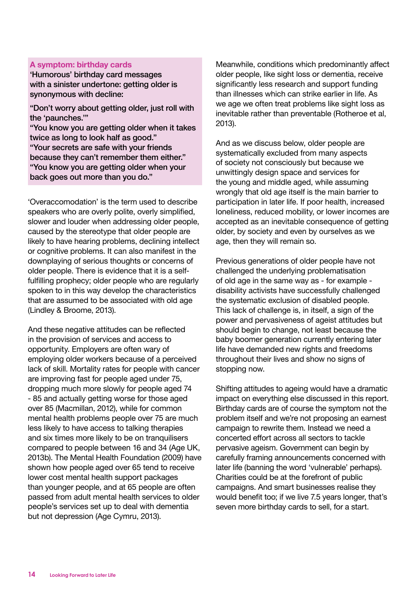#### **A symptom: birthday cards**

'Humorous' birthday card messages with a sinister undertone: getting older is synonymous with decline:

"Don't worry about getting older, just roll with the 'paunches.'"

"You know you are getting older when it takes twice as long to look half as good." "Your secrets are safe with your friends because they can't remember them either." "You know you are getting older when your back goes out more than you do."

'Overaccomodation' is the term used to describe speakers who are overly polite, overly simplified, slower and louder when addressing older people, caused by the stereotype that older people are likely to have hearing problems, declining intellect or cognitive problems. It can also manifest in the downplaying of serious thoughts or concerns of older people. There is evidence that it is a selffulfilling prophecy; older people who are regularly spoken to in this way develop the characteristics that are assumed to be associated with old age (Lindley & Broome, 2013).

And these negative attitudes can be reflected in the provision of services and access to opportunity. Employers are often wary of employing older workers because of a perceived lack of skill. Mortality rates for people with cancer are improving fast for people aged under 75, dropping much more slowly for people aged 74 - 85 and actually getting worse for those aged over 85 (Macmillan, 2012), while for common mental health problems people over 75 are much less likely to have access to talking therapies and six times more likely to be on tranquilisers compared to people between 16 and 34 (Age UK, 2013b). The Mental Health Foundation (2009) have shown how people aged over 65 tend to receive lower cost mental health support packages than younger people, and at 65 people are often passed from adult mental health services to older people's services set up to deal with dementia but not depression (Age Cymru, 2013).

Meanwhile, conditions which predominantly affect older people, like sight loss or dementia, receive significantly less research and support funding than illnesses which can strike earlier in life. As we age we often treat problems like sight loss as inevitable rather than preventable (Rotheroe et al, 2013).

And as we discuss below, older people are systematically excluded from many aspects of society not consciously but because we unwittingly design space and services for the young and middle aged, while assuming wrongly that old age itself is the main barrier to participation in later life. If poor health, increased loneliness, reduced mobility, or lower incomes are accepted as an inevitable consequence of getting older, by society and even by ourselves as we age, then they will remain so.

Previous generations of older people have not challenged the underlying problematisation of old age in the same way as - for example disability activists have successfully challenged the systematic exclusion of disabled people. This lack of challenge is, in itself, a sign of the power and pervasiveness of ageist attitudes but should begin to change, not least because the baby boomer generation currently entering later life have demanded new rights and freedoms throughout their lives and show no signs of stopping now.

Shifting attitudes to ageing would have a dramatic impact on everything else discussed in this report. Birthday cards are of course the symptom not the problem itself and we're not proposing an earnest campaign to rewrite them. Instead we need a concerted effort across all sectors to tackle pervasive ageism. Government can begin by carefully framing announcements concerned with later life (banning the word 'vulnerable' perhaps). Charities could be at the forefront of public campaigns. And smart businesses realise they would benefit too; if we live 7.5 years longer, that's seven more birthday cards to sell, for a start.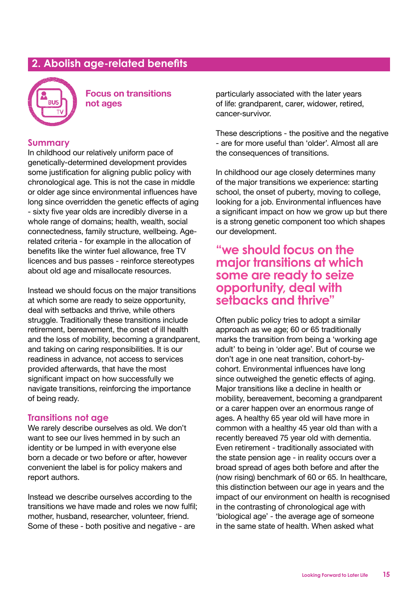### **2. Abolish age-related benefits**



**Focus on transitions not ages** 

### **Summary**

In childhood our relatively uniform pace of genetically-determined development provides some justification for aligning public policy with chronological age. This is not the case in middle or older age since environmental influences have long since overridden the genetic effects of aging - sixty five year olds are incredibly diverse in a whole range of domains; health, wealth, social connectedness, family structure, wellbeing. Agerelated criteria - for example in the allocation of benefits like the winter fuel allowance, free TV licences and bus passes - reinforce stereotypes about old age and misallocate resources.

Instead we should focus on the major transitions at which some are ready to seize opportunity, deal with setbacks and thrive, while others struggle. Traditionally these transitions include retirement, bereavement, the onset of ill health and the loss of mobility, becoming a grandparent, and taking on caring responsibilities. It is our readiness in advance, not access to services provided afterwards, that have the most significant impact on how successfully we navigate transitions, reinforcing the importance of being ready.

### **Transitions not age**

We rarely describe ourselves as old. We don't want to see our lives hemmed in by such an identity or be lumped in with everyone else born a decade or two before or after, however convenient the label is for policy makers and report authors.

Instead we describe ourselves according to the transitions we have made and roles we now fulfil; mother, husband, researcher, volunteer, friend. Some of these - both positive and negative - are

particularly associated with the later years of life: grandparent, carer, widower, retired, cancer-survivor.

These descriptions - the positive and the negative - are for more useful than 'older'. Almost all are the consequences of transitions.

In childhood our age closely determines many of the major transitions we experience: starting school, the onset of puberty, moving to college, looking for a job. Environmental influences have a significant impact on how we grow up but there is a strong genetic component too which shapes our development.

### **"we should focus on the major transitions at which some are ready to seize opportunity, deal with setbacks and thrive"**

Often public policy tries to adopt a similar approach as we age; 60 or 65 traditionally marks the transition from being a 'working age adult' to being in 'older age'. But of course we don't age in one neat transition, cohort-bycohort. Environmental influences have long since outweighed the genetic effects of aging. Major transitions like a decline in health or mobility, bereavement, becoming a grandparent or a carer happen over an enormous range of ages. A healthy 65 year old will have more in common with a healthy 45 year old than with a recently bereaved 75 year old with dementia. Even retirement - traditionally associated with the state pension age - in reality occurs over a broad spread of ages both before and after the (now rising) benchmark of 60 or 65. In healthcare, this distinction between our age in years and the impact of our environment on health is recognised in the contrasting of chronological age with 'biological age' - the average age of someone in the same state of health. When asked what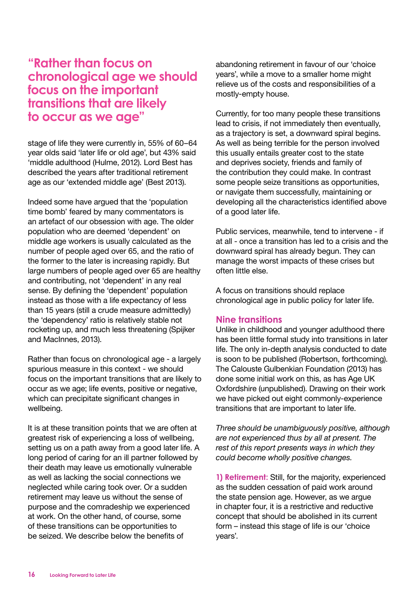### **"Rather than focus on chronological age we should focus on the important transitions that are likely to occur as we age"**

stage of life they were currently in, 55% of 60–64 year olds said 'later life or old age', but 43% said 'middle adulthood (Hulme, 2012). Lord Best has described the years after traditional retirement age as our 'extended middle age' (Best 2013).

Indeed some have argued that the 'population time bomb' feared by many commentators is an artefact of our obsession with age. The older population who are deemed 'dependent' on middle age workers is usually calculated as the number of people aged over 65, and the ratio of the former to the later is increasing rapidly. But large numbers of people aged over 65 are healthy and contributing, not 'dependent' in any real sense. By defining the 'dependent' population instead as those with a life expectancy of less than 15 years (still a crude measure admittedly) the 'dependency' ratio is relatively stable not rocketing up, and much less threatening (Spijker and MacInnes, 2013).

Rather than focus on chronological age - a largely spurious measure in this context - we should focus on the important transitions that are likely to occur as we age; life events, positive or negative, which can precipitate significant changes in wellbeing.

It is at these transition points that we are often at greatest risk of experiencing a loss of wellbeing, setting us on a path away from a good later life. A long period of caring for an ill partner followed by their death may leave us emotionally vulnerable as well as lacking the social connections we neglected while caring took over. Or a sudden retirement may leave us without the sense of purpose and the comradeship we experienced at work. On the other hand, of course, some of these transitions can be opportunities to be seized. We describe below the benefits of

abandoning retirement in favour of our 'choice years', while a move to a smaller home might relieve us of the costs and responsibilities of a mostly-empty house.

Currently, for too many people these transitions lead to crisis, if not immediately then eventually, as a trajectory is set, a downward spiral begins. As well as being terrible for the person involved this usually entails greater cost to the state and deprives society, friends and family of the contribution they could make. In contrast some people seize transitions as opportunities, or navigate them successfully, maintaining or developing all the characteristics identified above of a good later life.

Public services, meanwhile, tend to intervene - if at all - once a transition has led to a crisis and the downward spiral has already begun. They can manage the worst impacts of these crises but often little else.

A focus on transitions should replace chronological age in public policy for later life.

### **Nine transitions**

Unlike in childhood and younger adulthood there has been little formal study into transitions in later life. The only in-depth analysis conducted to date is soon to be published (Robertson, forthcoming). The Calouste Gulbenkian Foundation (2013) has done some initial work on this, as has Age UK Oxfordshire (unpublished). Drawing on their work we have picked out eight commonly-experience transitions that are important to later life.

*Three should be unambiguously positive, although are not experienced thus by all at present. The rest of this report presents ways in which they could become wholly positive changes.* 

**1) Retirement:** Still, for the majority, experienced as the sudden cessation of paid work around the state pension age. However, as we argue in chapter four, it is a restrictive and reductive concept that should be abolished in its current form – instead this stage of life is our 'choice years'.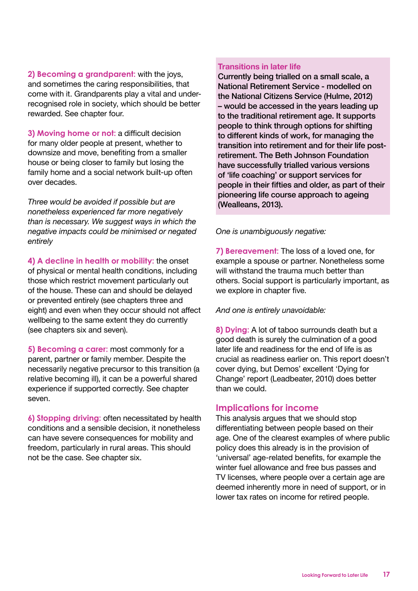**2) Becoming a grandparent:** with the joys, and sometimes the caring responsibilities, that come with it. Grandparents play a vital and underrecognised role in society, which should be better rewarded. See chapter four.

**3) Moving home or not:** a difficult decision for many older people at present, whether to downsize and move, benefiting from a smaller house or being closer to family but losing the family home and a social network built-up often over decades.

*Three would be avoided if possible but are nonetheless experienced far more negatively than is necessary. We suggest ways in which the negative impacts could be minimised or negated entirely* 

**4) A decline in health or mobility:** the onset of physical or mental health conditions, including those which restrict movement particularly out of the house. These can and should be delayed or prevented entirely (see chapters three and eight) and even when they occur should not affect wellbeing to the same extent they do currently (see chapters six and seven).

**5) Becoming a carer:** most commonly for a parent, partner or family member. Despite the necessarily negative precursor to this transition (a relative becoming ill), it can be a powerful shared experience if supported correctly. See chapter seven.

**6) Stopping driving:** often necessitated by health conditions and a sensible decision, it nonetheless can have severe consequences for mobility and freedom, particularly in rural areas. This should not be the case. See chapter six.

#### **Transitions in later life**

Currently being trialled on a small scale, a National Retirement Service - modelled on the National Citizens Service (Hulme, 2012) – would be accessed in the years leading up to the traditional retirement age. It supports people to think through options for shifting to different kinds of work, for managing the transition into retirement and for their life postretirement. The Beth Johnson Foundation have successfully trialled various versions of 'life coaching' or support services for people in their fifties and older, as part of their pioneering life course approach to ageing (Wealleans, 2013).

*One is unambiguously negative:*

**7) Bereavement:** The loss of a loved one, for example a spouse or partner. Nonetheless some will withstand the trauma much better than others. Social support is particularly important, as we explore in chapter five.

*And one is entirely unavoidable:*

**8) Dying:** A lot of taboo surrounds death but a good death is surely the culmination of a good later life and readiness for the end of life is as crucial as readiness earlier on. This report doesn't cover dying, but Demos' excellent 'Dying for Change' report (Leadbeater, 2010) does better than we could.

### **Implications for income**

This analysis argues that we should stop differentiating between people based on their age. One of the clearest examples of where public policy does this already is in the provision of 'universal' age-related benefits, for example the winter fuel allowance and free bus passes and TV licenses, where people over a certain age are deemed inherently more in need of support, or in lower tax rates on income for retired people.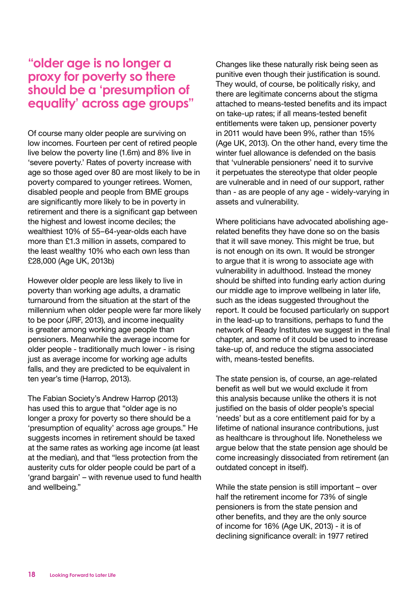### **"older age is no longer a proxy for poverty so there should be a 'presumption of equality' across age groups"**

Of course many older people are surviving on low incomes. Fourteen per cent of retired people live below the poverty line (1.6m) and 8% live in 'severe poverty.' Rates of poverty increase with age so those aged over 80 are most likely to be in poverty compared to younger retirees. Women, disabled people and people from BME groups are significantly more likely to be in poverty in retirement and there is a significant gap between the highest and lowest income deciles; the wealthiest 10% of 55–64-year-olds each have more than £1.3 million in assets, compared to the least wealthy 10% who each own less than £28,000 (Age UK, 2013b)

However older people are less likely to live in poverty than working age adults, a dramatic turnaround from the situation at the start of the millennium when older people were far more likely to be poor (JRF, 2013), and income inequality is greater among working age people than pensioners. Meanwhile the average income for older people - traditionally much lower - is rising just as average income for working age adults falls, and they are predicted to be equivalent in ten year's time (Harrop, 2013).

The Fabian Society's Andrew Harrop (2013) has used this to argue that "older age is no longer a proxy for poverty so there should be a 'presumption of equality' across age groups." He suggests incomes in retirement should be taxed at the same rates as working age income (at least at the median), and that "less protection from the austerity cuts for older people could be part of a 'grand bargain' – with revenue used to fund health and wellbeing."

Changes like these naturally risk being seen as punitive even though their justification is sound. They would, of course, be politically risky, and there are legitimate concerns about the stigma attached to means-tested benefits and its impact on take-up rates; if all means-tested benefit entitlements were taken up, pensioner poverty in 2011 would have been 9%, rather than 15% (Age UK, 2013). On the other hand, every time the winter fuel allowance is defended on the basis that 'vulnerable pensioners' need it to survive it perpetuates the stereotype that older people are vulnerable and in need of our support, rather than - as are people of any age - widely-varying in assets and vulnerability.

Where politicians have advocated abolishing agerelated benefits they have done so on the basis that it will save money. This might be true, but is not enough on its own. It would be stronger to argue that it is wrong to associate age with vulnerability in adulthood. Instead the money should be shifted into funding early action during our middle age to improve wellbeing in later life, such as the ideas suggested throughout the report. It could be focused particularly on support in the lead-up to transitions, perhaps to fund the network of Ready Institutes we suggest in the final chapter, and some of it could be used to increase take-up of, and reduce the stigma associated with, means-tested benefits.

The state pension is, of course, an age-related benefit as well but we would exclude it from this analysis because unlike the others it is not justified on the basis of older people's special 'needs' but as a core entitlement paid for by a lifetime of national insurance contributions, just as healthcare is throughout life. Nonetheless we argue below that the state pension age should be come increasingly dissociated from retirement (an outdated concept in itself).

While the state pension is still important – over half the retirement income for 73% of single pensioners is from the state pension and other benefits, and they are the only source of income for 16% (Age UK, 2013) - it is of declining significance overall: in 1977 retired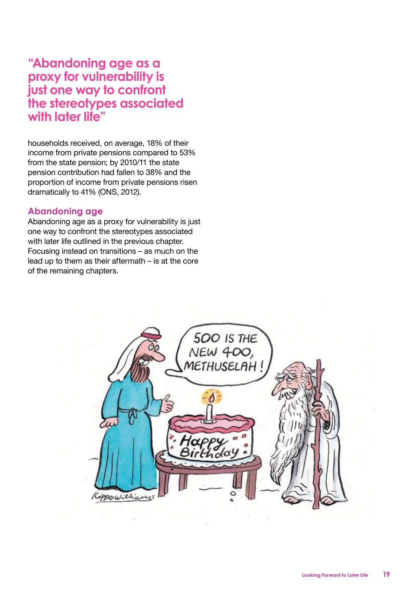### **"Abandoning age as a proxy for vulnerability is just one way to confront the stereotypes associated with later life"**

households received, on average, 18% of their income from private pensions compared to 53% from the state pension; by 2010/11 the state pension contribution had fallen to 38% and the proportion of income from private pensions risen dramatically to 41% (ONS, 2012).

### **Abandoning age**

Abandoning age as a proxy for vulnerability is just one way to confront the stereotypes associated with later life outlined in the previous chapter. Focusing instead on transitions – as much on the lead up to them as their aftermath – is at the core of the remaining chapters.

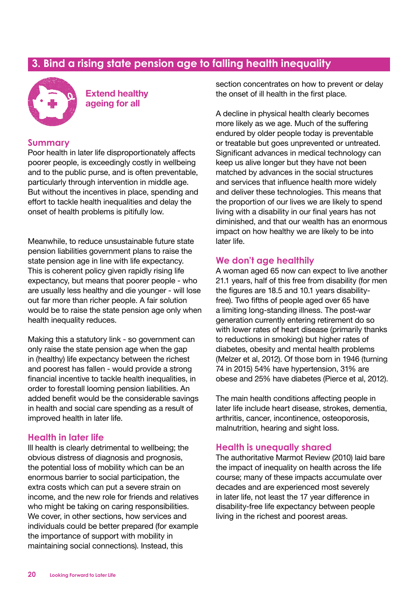### **3. Bind a rising state pension age to falling health inequality**



 **Extend healthy ageing for all** 

#### **Summary**

Poor health in later life disproportionately affects poorer people, is exceedingly costly in wellbeing and to the public purse, and is often preventable, particularly through intervention in middle age. But without the incentives in place, spending and effort to tackle health inequalities and delay the onset of health problems is pitifully low.

Meanwhile, to reduce unsustainable future state pension liabilities government plans to raise the state pension age in line with life expectancy. This is coherent policy given rapidly rising life expectancy, but means that poorer people - who are usually less healthy and die younger - will lose out far more than richer people. A fair solution would be to raise the state pension age only when health inequality reduces.

Making this a statutory link - so government can only raise the state pension age when the gap in (healthy) life expectancy between the richest and poorest has fallen - would provide a strong financial incentive to tackle health inequalities, in order to forestall looming pension liabilities. An added benefit would be the considerable savings in health and social care spending as a result of improved health in later life.

### **Health in later life**

Ill health is clearly detrimental to wellbeing; the obvious distress of diagnosis and prognosis, the potential loss of mobility which can be an enormous barrier to social participation, the extra costs which can put a severe strain on income, and the new role for friends and relatives who might be taking on caring responsibilities. We cover, in other sections, how services and individuals could be better prepared (for example the importance of support with mobility in maintaining social connections). Instead, this

section concentrates on how to prevent or delay the onset of ill health in the first place.

A decline in physical health clearly becomes more likely as we age. Much of the suffering endured by older people today is preventable or treatable but goes unprevented or untreated. Significant advances in medical technology can keep us alive longer but they have not been matched by advances in the social structures and services that influence health more widely and deliver these technologies. This means that the proportion of our lives we are likely to spend living with a disability in our final years has not diminished, and that our wealth has an enormous impact on how healthy we are likely to be into later life.

#### **We don't age healthily**

A woman aged 65 now can expect to live another 21.1 years, half of this free from disability (for men the figures are 18.5 and 10.1 years disabilityfree). Two fifths of people aged over 65 have a limiting long-standing illness. The post-war generation currently entering retirement do so with lower rates of heart disease (primarily thanks to reductions in smoking) but higher rates of diabetes, obesity and mental health problems (Melzer et al, 2012). Of those born in 1946 (turning 74 in 2015) 54% have hypertension, 31% are obese and 25% have diabetes (Pierce et al, 2012).

The main health conditions affecting people in later life include heart disease, strokes, dementia, arthritis, cancer, incontinence, osteoporosis, malnutrition, hearing and sight loss.

#### **Health is unequally shared**

The authoritative Marmot Review (2010) laid bare the impact of inequality on health across the life course; many of these impacts accumulate over decades and are experienced most severely in later life, not least the 17 year difference in disability-free life expectancy between people living in the richest and poorest areas.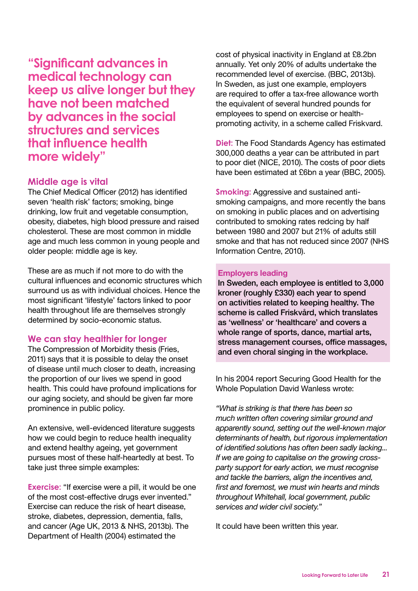**"Significant advances in medical technology can keep us alive longer but they have not been matched by advances in the social structures and services that influence health more widely"**

#### **Middle age is vital**

The Chief Medical Officer (2012) has identified seven 'health risk' factors; smoking, binge drinking, low fruit and vegetable consumption, obesity, diabetes, high blood pressure and raised cholesterol. These are most common in middle age and much less common in young people and older people: middle age is key.

These are as much if not more to do with the cultural influences and economic structures which surround us as with individual choices. Hence the most significant 'lifestyle' factors linked to poor health throughout life are themselves strongly determined by socio-economic status.

#### **We can stay healthier for longer**

The Compression of Morbidity thesis (Fries, 2011) says that it is possible to delay the onset of disease until much closer to death, increasing the proportion of our lives we spend in good health. This could have profound implications for our aging society, and should be given far more prominence in public policy.

An extensive, well-evidenced literature suggests how we could begin to reduce health inequality and extend healthy ageing, yet government pursues most of these half-heartedly at best. To take just three simple examples:

**Exercise:** "If exercise were a pill, it would be one of the most cost-effective drugs ever invented." Exercise can reduce the risk of heart disease, stroke, diabetes, depression, dementia, falls, and cancer (Age UK, 2013 & NHS, 2013b). The Department of Health (2004) estimated the

cost of physical inactivity in England at £8.2bn annually. Yet only 20% of adults undertake the recommended level of exercise. (BBC, 2013b). In Sweden, as just one example, employers are required to offer a tax-free allowance worth the equivalent of several hundred pounds for employees to spend on exercise or healthpromoting activity, in a scheme called Friskvard.

**Diet:** The Food Standards Agency has estimated 300,000 deaths a year can be attributed in part to poor diet (NICE, 2010). The costs of poor diets have been estimated at £6bn a year (BBC, 2005).

**Smoking:** Aggressive and sustained antismoking campaigns, and more recently the bans on smoking in public places and on advertising contributed to smoking rates redcing by half between 1980 and 2007 but 21% of adults still smoke and that has not reduced since 2007 (NHS Information Centre, 2010).

#### **Employers leading**

In Sweden, each employee is entitled to 3,000 kroner (roughly £330) each year to spend on activities related to keeping healthy. The scheme is called Friskvård, which translates as 'wellness' or 'healthcare' and covers a whole range of sports, dance, martial arts, stress management courses, office massages, and even choral singing in the workplace.

In his 2004 report Securing Good Health for the Whole Population David Wanless wrote:

*"What is striking is that there has been so much written often covering similar ground and apparently sound, setting out the well-known major determinants of health, but rigorous implementation of identified solutions has often been sadly lacking... If we are going to capitalise on the growing crossparty support for early action, we must recognise and tackle the barriers, align the incentives and, first and foremost, we must win hearts and minds throughout Whitehall, local government, public services and wider civil society."*

It could have been written this year.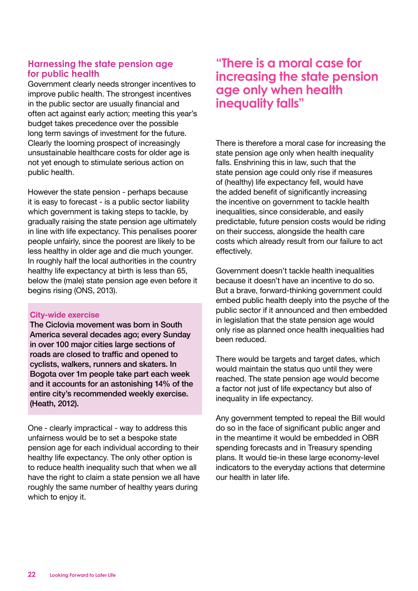### **Harnessing the state pension age for public health**

Government clearly needs stronger incentives to improve public health. The strongest incentives in the public sector are usually financial and often act against early action; meeting this year's budget takes precedence over the possible long term savings of investment for the future. Clearly the looming prospect of increasingly unsustainable healthcare costs for older age is not yet enough to stimulate serious action on public health.

However the state pension - perhaps because it is easy to forecast - is a public sector liability which government is taking steps to tackle, by gradually raising the state pension age ultimately in line with life expectancy. This penalises poorer people unfairly, since the poorest are likely to be less healthy in older age and die much younger. In roughly half the local authorities in the country healthy life expectancy at birth is less than 65, below the (male) state pension age even before it begins rising (ONS, 2013).

#### **City-wide exercise**

The Ciclovia movement was born in South America several decades ago; every Sunday in over 100 major cities large sections of roads are closed to traffic and opened to cyclists, walkers, runners and skaters. In Bogota over 1m people take part each week and it accounts for an astonishing 14% of the entire city's recommended weekly exercise. (Heath, 2012).

One - clearly impractical - way to address this unfairness would be to set a bespoke state pension age for each individual according to their healthy life expectancy. The only other option is to reduce health inequality such that when we all have the right to claim a state pension we all have roughly the same number of healthy years during which to enjoy it.

### **"There is a moral case for increasing the state pension age only when health inequality falls"**

There is therefore a moral case for increasing the state pension age only when health inequality falls. Enshrining this in law, such that the state pension age could only rise if measures of (healthy) life expectancy fell, would have the added benefit of significantly increasing the incentive on government to tackle health inequalities, since considerable, and easily predictable, future pension costs would be riding on their success, alongside the health care costs which already result from our failure to act effectively.

Government doesn't tackle health inequalities because it doesn't have an incentive to do so. But a brave, forward-thinking government could embed public health deeply into the psyche of the public sector if it announced and then embedded in legislation that the state pension age would only rise as planned once health inequalities had been reduced.

There would be targets and target dates, which would maintain the status quo until they were reached. The state pension age would become a factor not just of life expectancy but also of inequality in life expectancy.

Any government tempted to repeal the Bill would do so in the face of significant public anger and in the meantime it would be embedded in OBR spending forecasts and in Treasury spending plans. It would tie-in these large economy-level indicators to the everyday actions that determine our health in later life.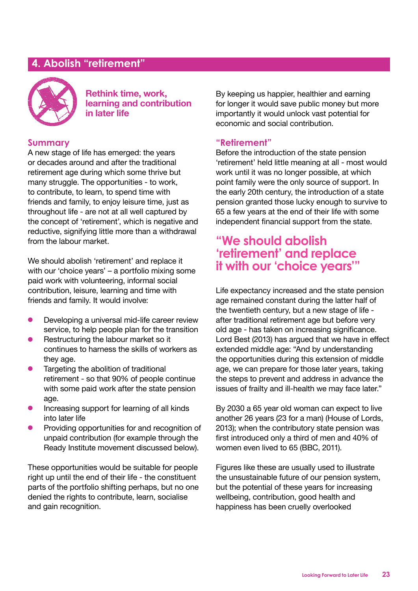### **4. Abolish "retirement"**



**Rethink time, work, learning and contribution in later life**

### **Summary**

A new stage of life has emerged: the years or decades around and after the traditional retirement age during which some thrive but many struggle. The opportunities - to work, to contribute, to learn, to spend time with friends and family, to enjoy leisure time, just as throughout life - are not at all well captured by the concept of 'retirement', which is negative and reductive, signifying little more than a withdrawal from the labour market.

We should abolish 'retirement' and replace it with our 'choice years' – a portfolio mixing some paid work with volunteering, informal social contribution, leisure, learning and time with friends and family. It would involve:

- **•** Developing a universal mid-life career review service, to help people plan for the transition
- $\bullet$  Restructuring the labour market so it continues to harness the skills of workers as they age.
- Targeting the abolition of traditional retirement - so that 90% of people continue with some paid work after the state pension age.
- $\bullet$  Increasing support for learning of all kinds into later life
- Providing opportunities for and recognition of unpaid contribution (for example through the Ready Institute movement discussed below).

These opportunities would be suitable for people right up until the end of their life - the constituent parts of the portfolio shifting perhaps, but no one denied the rights to contribute, learn, socialise and gain recognition.

By keeping us happier, healthier and earning for longer it would save public money but more importantly it would unlock vast potential for economic and social contribution.

#### **"Retirement"**

Before the introduction of the state pension 'retirement' held little meaning at all - most would work until it was no longer possible, at which point family were the only source of support. In the early 20th century, the introduction of a state pension granted those lucky enough to survive to 65 a few years at the end of their life with some independent financial support from the state.

### **"We should abolish 'retirement' and replace it with our 'choice years'"**

Life expectancy increased and the state pension age remained constant during the latter half of the twentieth century, but a new stage of life after traditional retirement age but before very old age - has taken on increasing significance. Lord Best (2013) has argued that we have in effect extended middle age: "And by understanding the opportunities during this extension of middle age, we can prepare for those later years, taking the steps to prevent and address in advance the issues of frailty and ill-health we may face later."

By 2030 a 65 year old woman can expect to live another 26 years (23 for a man) (House of Lords, 2013); when the contributory state pension was first introduced only a third of men and 40% of women even lived to 65 (BBC, 2011).

Figures like these are usually used to illustrate the unsustainable future of our pension system, but the potential of these years for increasing wellbeing, contribution, good health and happiness has been cruelly overlooked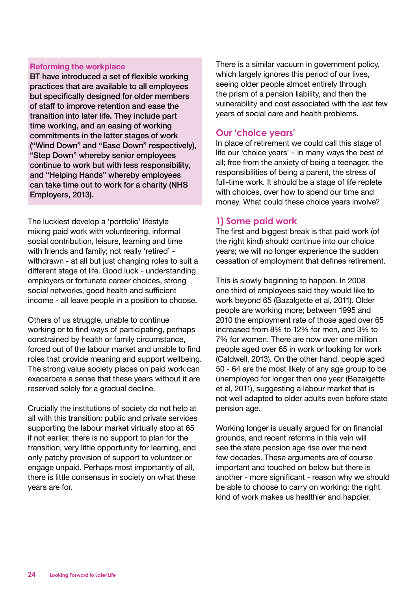#### **Reforming the workplace**

BT have introduced a set of flexible working practices that are available to all employees but specifically designed for older members of staff to improve retention and ease the transition into later life. They include part time working, and an easing of working commitments in the latter stages of work ("Wind Down" and "Ease Down" respectively), "Step Down" whereby senior employees continue to work but with less responsibility, and "Helping Hands" whereby employees can take time out to work for a charity (NHS Employers, 2013).

The luckiest develop a 'portfolio' lifestyle mixing paid work with volunteering, informal social contribution, leisure, learning and time with friends and family; not really 'retired' withdrawn - at all but just changing roles to suit a different stage of life. Good luck - understanding employers or fortunate career choices, strong social networks, good health and sufficient income - all leave people in a position to choose.

Others of us struggle, unable to continue working or to find ways of participating, perhaps constrained by health or family circumstance, forced out of the labour market and unable to find roles that provide meaning and support wellbeing. The strong value society places on paid work can exacerbate a sense that these years without it are reserved solely for a gradual decline.

Crucially the institutions of society do not help at all with this transition: public and private services supporting the labour market virtually stop at 65 if not earlier, there is no support to plan for the transition, very little opportunity for learning, and only patchy provision of support to volunteer or engage unpaid. Perhaps most importantly of all, there is little consensus in society on what these years are for.

There is a similar vacuum in government policy, which largely ignores this period of our lives. seeing older people almost entirely through the prism of a pension liability, and then the vulnerability and cost associated with the last few years of social care and health problems.

### **Our 'choice years'**

In place of retirement we could call this stage of life our 'choice years' – in many ways the best of all; free from the anxiety of being a teenager, the responsibilities of being a parent, the stress of full-time work. It should be a stage of life replete with choices, over how to spend our time and money. What could these choice years involve?

### **1) Some paid work**

The first and biggest break is that paid work (of the right kind) should continue into our choice years; we will no longer experience the sudden cessation of employment that defines retirement.

This is slowly beginning to happen. In 2008 one third of employees said they would like to work beyond 65 (Bazalgette et al, 2011). Older people are working more; between 1995 and 2010 the employment rate of those aged over 65 increased from 8% to 12% for men, and 3% to 7% for women. There are now over one million people aged over 65 in work or looking for work (Caldwell, 2013). On the other hand, people aged 50 - 64 are the most likely of any age group to be unemployed for longer than one year (Bazalgette et al, 2011), suggesting a labour market that is not well adapted to older adults even before state pension age.

Working longer is usually argued for on financial grounds, and recent reforms in this vein will see the state pension age rise over the next few decades. These arguments are of course important and touched on below but there is another - more significant - reason why we should be able to choose to carry on working: the right kind of work makes us healthier and happier.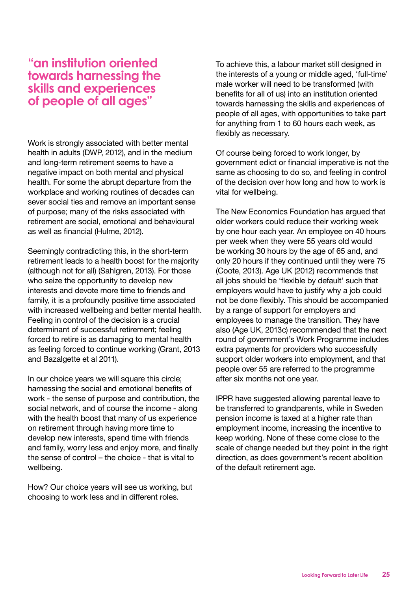### **"an institution oriented towards harnessing the skills and experiences of people of all ages"**

Work is strongly associated with better mental health in adults (DWP, 2012), and in the medium and long-term retirement seems to have a negative impact on both mental and physical health. For some the abrupt departure from the workplace and working routines of decades can sever social ties and remove an important sense of purpose; many of the risks associated with retirement are social, emotional and behavioural as well as financial (Hulme, 2012).

Seemingly contradicting this, in the short-term retirement leads to a health boost for the majority (although not for all) (Sahlgren, 2013). For those who seize the opportunity to develop new interests and devote more time to friends and family, it is a profoundly positive time associated with increased wellbeing and better mental health. Feeling in control of the decision is a crucial determinant of successful retirement; feeling forced to retire is as damaging to mental health as feeling forced to continue working (Grant, 2013 and Bazalgette et al 2011).

In our choice years we will square this circle; harnessing the social and emotional benefits of work - the sense of purpose and contribution, the social network, and of course the income - along with the health boost that many of us experience on retirement through having more time to develop new interests, spend time with friends and family, worry less and enjoy more, and finally the sense of control – the choice - that is vital to wellbeing.

How? Our choice years will see us working, but choosing to work less and in different roles.

To achieve this, a labour market still designed in the interests of a young or middle aged, 'full-time' male worker will need to be transformed (with benefits for all of us) into an institution oriented towards harnessing the skills and experiences of people of all ages, with opportunities to take part for anything from 1 to 60 hours each week, as flexibly as necessary.

Of course being forced to work longer, by government edict or financial imperative is not the same as choosing to do so, and feeling in control of the decision over how long and how to work is vital for wellbeing.

The New Economics Foundation has argued that older workers could reduce their working week by one hour each year. An employee on 40 hours per week when they were 55 years old would be working 30 hours by the age of 65 and, and only 20 hours if they continued until they were 75 (Coote, 2013). Age UK (2012) recommends that all jobs should be 'flexible by default' such that employers would have to justify why a job could not be done flexibly. This should be accompanied by a range of support for employers and employees to manage the transition. They have also (Age UK, 2013c) recommended that the next round of government's Work Programme includes extra payments for providers who successfully support older workers into employment, and that people over 55 are referred to the programme after six months not one year.

IPPR have suggested allowing parental leave to be transferred to grandparents, while in Sweden pension income is taxed at a higher rate than employment income, increasing the incentive to keep working. None of these come close to the scale of change needed but they point in the right direction, as does government's recent abolition of the default retirement age.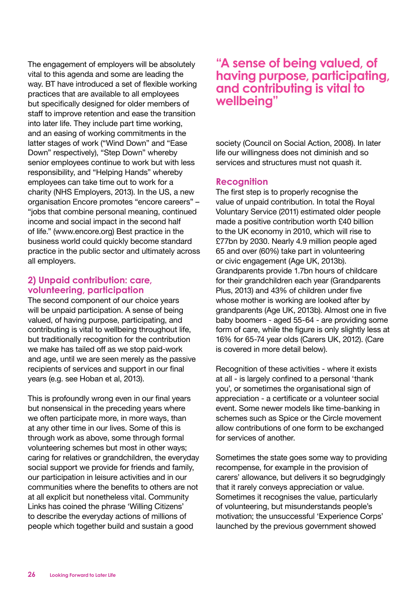The engagement of employers will be absolutely vital to this agenda and some are leading the way. BT have introduced a set of flexible working practices that are available to all employees but specifically designed for older members of staff to improve retention and ease the transition into later life. They include part time working, and an easing of working commitments in the latter stages of work ("Wind Down" and "Ease Down" respectively), "Step Down" whereby senior employees continue to work but with less responsibility, and "Helping Hands" whereby employees can take time out to work for a charity (NHS Employers, 2013). In the US, a new organisation Encore promotes "encore careers" – "jobs that combine personal meaning, continued income and social impact in the second half of life." (www.encore.org) Best practice in the business world could quickly become standard practice in the public sector and ultimately across all employers.

### **2) Unpaid contribution: care, volunteering, participation**

The second component of our choice years will be unpaid participation. A sense of being valued, of having purpose, participating, and contributing is vital to wellbeing throughout life, but traditionally recognition for the contribution we make has tailed off as we stop paid-work and age, until we are seen merely as the passive recipients of services and support in our final years (e.g. see Hoban et al, 2013).

This is profoundly wrong even in our final years but nonsensical in the preceding years where we often participate more, in more ways, than at any other time in our lives. Some of this is through work as above, some through formal volunteering schemes but most in other ways; caring for relatives or grandchildren, the everyday social support we provide for friends and family, our participation in leisure activities and in our communities where the benefits to others are not at all explicit but nonetheless vital. Community Links has coined the phrase 'Willing Citizens' to describe the everyday actions of millions of people which together build and sustain a good

### **"A sense of being valued, of having purpose, participating, and contributing is vital to wellbeing"**

society (Council on Social Action, 2008). In later life our willingness does not diminish and so services and structures must not quash it.

### **Recognition**

The first step is to properly recognise the value of unpaid contribution. In total the Royal Voluntary Service (2011) estimated older people made a positive contribution worth £40 billion to the UK economy in 2010, which will rise to £77bn by 2030. Nearly 4.9 million people aged 65 and over (60%) take part in volunteering or civic engagement (Age UK, 2013b). Grandparents provide 1.7bn hours of childcare for their grandchildren each year (Grandparents Plus, 2013) and 43% of children under five whose mother is working are looked after by grandparents (Age UK, 2013b). Almost one in five baby boomers - aged 55-64 - are providing some form of care, while the figure is only slightly less at 16% for 65-74 year olds (Carers UK, 2012). (Care is covered in more detail below).

Recognition of these activities - where it exists at all - is largely confined to a personal 'thank you', or sometimes the organisational sign of appreciation - a certificate or a volunteer social event. Some newer models like time-banking in schemes such as Spice or the Circle movement allow contributions of one form to be exchanged for services of another.

Sometimes the state goes some way to providing recompense, for example in the provision of carers' allowance, but delivers it so begrudgingly that it rarely conveys appreciation or value. Sometimes it recognises the value, particularly of volunteering, but misunderstands people's motivation; the unsuccessful 'Experience Corps' launched by the previous government showed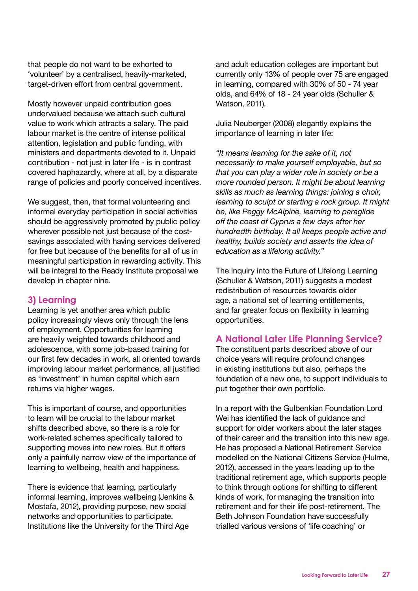that people do not want to be exhorted to 'volunteer' by a centralised, heavily-marketed, target-driven effort from central government.

Mostly however unpaid contribution goes undervalued because we attach such cultural value to work which attracts a salary. The paid labour market is the centre of intense political attention, legislation and public funding, with ministers and departments devoted to it. Unpaid contribution - not just in later life - is in contrast covered haphazardly, where at all, by a disparate range of policies and poorly conceived incentives.

We suggest, then, that formal volunteering and informal everyday participation in social activities should be aggressively promoted by public policy wherever possible not just because of the costsavings associated with having services delivered for free but because of the benefits for all of us in meaningful participation in rewarding activity. This will be integral to the Ready Institute proposal we develop in chapter nine.

### **3) Learning**

Learning is yet another area which public policy increasingly views only through the lens of employment. Opportunities for learning are heavily weighted towards childhood and adolescence, with some job-based training for our first few decades in work, all oriented towards improving labour market performance, all justified as 'investment' in human capital which earn returns via higher wages.

This is important of course, and opportunities to learn will be crucial to the labour market shifts described above, so there is a role for work-related schemes specifically tailored to supporting moves into new roles. But it offers only a painfully narrow view of the importance of learning to wellbeing, health and happiness.

There is evidence that learning, particularly informal learning, improves wellbeing (Jenkins & Mostafa, 2012), providing purpose, new social networks and opportunities to participate. Institutions like the University for the Third Age

and adult education colleges are important but currently only 13% of people over 75 are engaged in learning, compared with 30% of 50 - 74 year olds, and 64% of 18 - 24 year olds (Schuller & Watson, 2011).

Julia Neuberger (2008) elegantly explains the importance of learning in later life:

*"It means learning for the sake of it, not necessarily to make yourself employable, but so that you can play a wider role in society or be a more rounded person. It might be about learning skills as much as learning things: joining a choir, learning to sculpt or starting a rock group. It might be, like Peggy McAlpine, learning to paraglide off the coast of Cyprus a few days after her hundredth birthday. It all keeps people active and healthy, builds society and asserts the idea of education as a lifelong activity."*

The Inquiry into the Future of Lifelong Learning (Schuller & Watson, 2011) suggests a modest redistribution of resources towards older age, a national set of learning entitlements, and far greater focus on flexibility in learning opportunities.

### **A National Later Life Planning Service?**

The constituent parts described above of our choice years will require profound changes in existing institutions but also, perhaps the foundation of a new one, to support individuals to put together their own portfolio.

In a report with the Gulbenkian Foundation Lord Wei has identified the lack of guidance and support for older workers about the later stages of their career and the transition into this new age. He has proposed a National Retirement Service modelled on the National Citizens Service (Hulme, 2012), accessed in the years leading up to the traditional retirement age, which supports people to think through options for shifting to different kinds of work, for managing the transition into retirement and for their life post-retirement. The Beth Johnson Foundation have successfully trialled various versions of 'life coaching' or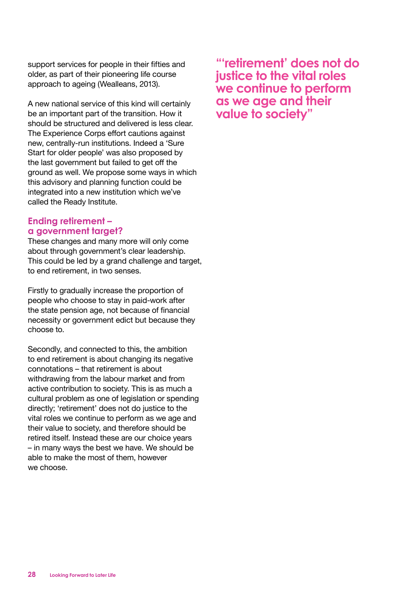support services for people in their fifties and older, as part of their pioneering life course approach to ageing (Wealleans, 2013).

A new national service of this kind will certainly be an important part of the transition. How it should be structured and delivered is less clear. The Experience Corps effort cautions against new, centrally-run institutions. Indeed a 'Sure Start for older people' was also proposed by the last government but failed to get off the ground as well. We propose some ways in which this advisory and planning function could be integrated into a new institution which we've called the Ready Institute.

### **Ending retirement – a government target?**

These changes and many more will only come about through government's clear leadership. This could be led by a grand challenge and target, to end retirement, in two senses.

Firstly to gradually increase the proportion of people who choose to stay in paid-work after the state pension age, not because of financial necessity or government edict but because they choose to.

Secondly, and connected to this, the ambition to end retirement is about changing its negative connotations – that retirement is about withdrawing from the labour market and from active contribution to society. This is as much a cultural problem as one of legislation or spending directly; 'retirement' does not do justice to the vital roles we continue to perform as we age and their value to society, and therefore should be retired itself. Instead these are our choice years – in many ways the best we have. We should be able to make the most of them, however we choose.

**"'retirement' does not do justice to the vital roles we continue to perform as we age and their value to society"**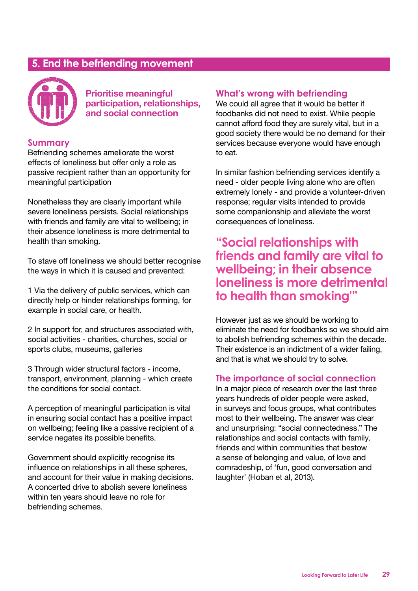### **5. End the befriending movement**



**Prioritise meaningful participation, relationships, and social connection** 

### **Summary**

Befriending schemes ameliorate the worst effects of loneliness but offer only a role as passive recipient rather than an opportunity for meaningful participation

Nonetheless they are clearly important while severe loneliness persists. Social relationships with friends and family are vital to wellbeing; in their absence loneliness is more detrimental to health than smoking.

To stave off loneliness we should better recognise the ways in which it is caused and prevented:

1 Via the delivery of public services, which can directly help or hinder relationships forming, for example in social care, or health.

2 In support for, and structures associated with, social activities - charities, churches, social or sports clubs, museums, galleries

3 Through wider structural factors - income, transport, environment, planning - which create the conditions for social contact.

A perception of meaningful participation is vital in ensuring social contact has a positive impact on wellbeing; feeling like a passive recipient of a service negates its possible benefits.

Government should explicitly recognise its influence on relationships in all these spheres, and account for their value in making decisions. A concerted drive to abolish severe loneliness within ten years should leave no role for befriending schemes.

### **What's wrong with befriending**

We could all agree that it would be better if foodbanks did not need to exist. While people cannot afford food they are surely vital, but in a good society there would be no demand for their services because everyone would have enough to eat.

In similar fashion befriending services identify a need - older people living alone who are often extremely lonely - and provide a volunteer-driven response; regular visits intended to provide some companionship and alleviate the worst consequences of loneliness.

### **"Social relationships with friends and family are vital to wellbeing; in their absence loneliness is more detrimental to health than smoking'"**

However just as we should be working to eliminate the need for foodbanks so we should aim to abolish befriending schemes within the decade. Their existence is an indictment of a wider failing, and that is what we should try to solve.

### **The importance of social connection**

In a major piece of research over the last three years hundreds of older people were asked, in surveys and focus groups, what contributes most to their wellbeing. The answer was clear and unsurprising: "social connectedness." The relationships and social contacts with family, friends and within communities that bestow a sense of belonging and value, of love and comradeship, of 'fun, good conversation and laughter' (Hoban et al, 2013).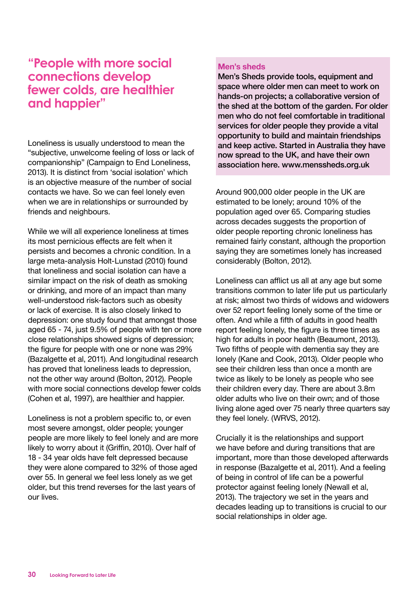### **"People with more social connections develop fewer colds, are healthier and happier"**

Loneliness is usually understood to mean the "subjective, unwelcome feeling of loss or lack of companionship" (Campaign to End Loneliness, 2013). It is distinct from 'social isolation' which is an objective measure of the number of social contacts we have. So we can feel lonely even when we are in relationships or surrounded by friends and neighbours.

While we will all experience loneliness at times its most pernicious effects are felt when it persists and becomes a chronic condition. In a large meta-analysis Holt-Lunstad (2010) found that loneliness and social isolation can have a similar impact on the risk of death as smoking or drinking, and more of an impact than many well-understood risk-factors such as obesity or lack of exercise. It is also closely linked to depression: one study found that amongst those aged 65 - 74, just 9.5% of people with ten or more close relationships showed signs of depression; the figure for people with one or none was 29% (Bazalgette et al, 2011). And longitudinal research has proved that loneliness leads to depression, not the other way around (Bolton, 2012). People with more social connections develop fewer colds (Cohen et al, 1997), are healthier and happier.

Loneliness is not a problem specific to, or even most severe amongst, older people; younger people are more likely to feel lonely and are more likely to worry about it (Griffin, 2010). Over half of 18 - 34 year olds have felt depressed because they were alone compared to 32% of those aged over 55. In general we feel less lonely as we get older, but this trend reverses for the last years of our lives.

#### **Men's sheds**

Men's Sheds provide tools, equipment and space where older men can meet to work on hands-on projects; a collaborative version of the shed at the bottom of the garden. For older men who do not feel comfortable in traditional services for older people they provide a vital opportunity to build and maintain friendships and keep active. Started in Australia they have now spread to the UK, and have their own association here. www.menssheds.org.uk

Around 900,000 older people in the UK are estimated to be lonely; around 10% of the population aged over 65. Comparing studies across decades suggests the proportion of older people reporting chronic loneliness has remained fairly constant, although the proportion saying they are sometimes lonely has increased considerably (Bolton, 2012).

Loneliness can afflict us all at any age but some transitions common to later life put us particularly at risk; almost two thirds of widows and widowers over 52 report feeling lonely some of the time or often. And while a fifth of adults in good health report feeling lonely, the figure is three times as high for adults in poor health (Beaumont, 2013). Two fifths of people with dementia say they are lonely (Kane and Cook, 2013). Older people who see their children less than once a month are twice as likely to be lonely as people who see their children every day. There are about 3.8m older adults who live on their own; and of those living alone aged over 75 nearly three quarters say they feel lonely. (WRVS, 2012).

Crucially it is the relationships and support we have before and during transitions that are important, more than those developed afterwards in response (Bazalgette et al, 2011). And a feeling of being in control of life can be a powerful protector against feeling lonely (Newall et al, 2013). The trajectory we set in the years and decades leading up to transitions is crucial to our social relationships in older age.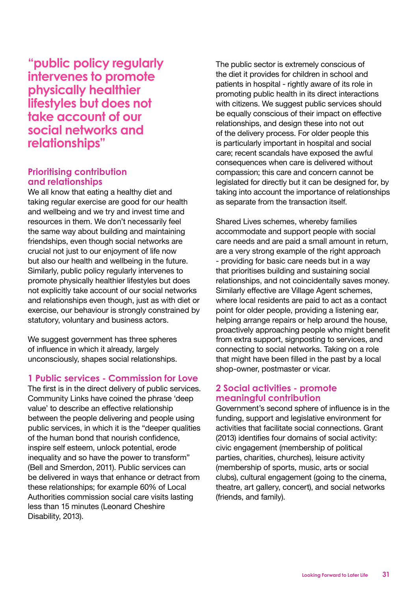**"public policy regularly intervenes to promote physically healthier lifestyles but does not take account of our social networks and relationships"**

### **Prioritising contribution and relationships**

We all know that eating a healthy diet and taking regular exercise are good for our health and wellbeing and we try and invest time and resources in them. We don't necessarily feel the same way about building and maintaining friendships, even though social networks are crucial not just to our enjoyment of life now but also our health and wellbeing in the future. Similarly, public policy regularly intervenes to promote physically healthier lifestyles but does not explicitly take account of our social networks and relationships even though, just as with diet or exercise, our behaviour is strongly constrained by statutory, voluntary and business actors.

We suggest government has three spheres of influence in which it already, largely unconsciously, shapes social relationships.

### **1 Public services - Commission for Love**

The first is in the direct delivery of public services. Community Links have coined the phrase 'deep value' to describe an effective relationship between the people delivering and people using public services, in which it is the "deeper qualities of the human bond that nourish confidence, inspire self esteem, unlock potential, erode inequality and so have the power to transform" (Bell and Smerdon, 2011). Public services can be delivered in ways that enhance or detract from these relationships; for example 60% of Local Authorities commission social care visits lasting less than 15 minutes (Leonard Cheshire Disability, 2013).

The public sector is extremely conscious of the diet it provides for children in school and patients in hospital - rightly aware of its role in promoting public health in its direct interactions with citizens. We suggest public services should be equally conscious of their impact on effective relationships, and design these into not out of the delivery process. For older people this is particularly important in hospital and social care; recent scandals have exposed the awful consequences when care is delivered without compassion; this care and concern cannot be legislated for directly but it can be designed for, by taking into account the importance of relationships as separate from the transaction itself.

Shared Lives schemes, whereby families accommodate and support people with social care needs and are paid a small amount in return, are a very strong example of the right approach - providing for basic care needs but in a way that prioritises building and sustaining social relationships, and not coincidentally saves money. Similarly effective are Village Agent schemes, where local residents are paid to act as a contact point for older people, providing a listening ear, helping arrange repairs or help around the house, proactively approaching people who might benefit from extra support, signposting to services, and connecting to social networks. Taking on a role that might have been filled in the past by a local shop-owner, postmaster or vicar.

### **2 Social activities - promote meaningful contribution**

Government's second sphere of influence is in the funding, support and legislative environment for activities that facilitate social connections. Grant (2013) identifies four domains of social activity: civic engagement (membership of political parties, charities, churches), leisure activity (membership of sports, music, arts or social clubs), cultural engagement (going to the cinema, theatre, art gallery, concert), and social networks (friends, and family).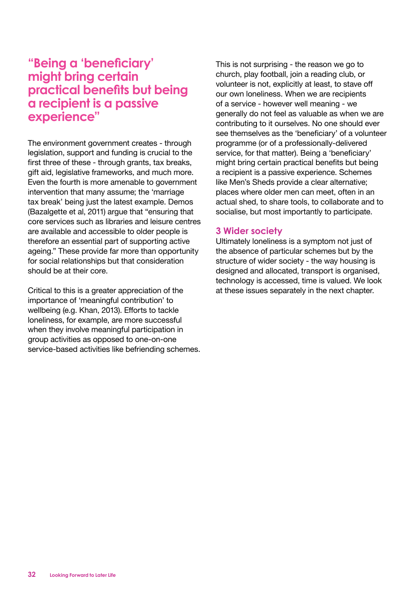### **"Being a 'beneficiary' might bring certain practical benefits but being a recipient is a passive experience"**

The environment government creates - through legislation, support and funding is crucial to the first three of these - through grants, tax breaks, gift aid, legislative frameworks, and much more. Even the fourth is more amenable to government intervention that many assume; the 'marriage tax break' being just the latest example. Demos (Bazalgette et al, 2011) argue that "ensuring that core services such as libraries and leisure centres are available and accessible to older people is therefore an essential part of supporting active ageing." These provide far more than opportunity for social relationships but that consideration should be at their core.

Critical to this is a greater appreciation of the importance of 'meaningful contribution' to wellbeing (e.g. Khan, 2013). Efforts to tackle loneliness, for example, are more successful when they involve meaningful participation in group activities as opposed to one-on-one service-based activities like befriending schemes. This is not surprising - the reason we go to church, play football, join a reading club, or volunteer is not, explicitly at least, to stave off our own loneliness. When we are recipients of a service - however well meaning - we generally do not feel as valuable as when we are contributing to it ourselves. No one should ever see themselves as the 'beneficiary' of a volunteer programme (or of a professionally-delivered service, for that matter). Being a 'beneficiary' might bring certain practical benefits but being a recipient is a passive experience. Schemes like Men's Sheds provide a clear alternative; places where older men can meet, often in an actual shed, to share tools, to collaborate and to socialise, but most importantly to participate.

### **3 Wider society**

Ultimately loneliness is a symptom not just of the absence of particular schemes but by the structure of wider society - the way housing is designed and allocated, transport is organised, technology is accessed, time is valued. We look at these issues separately in the next chapter.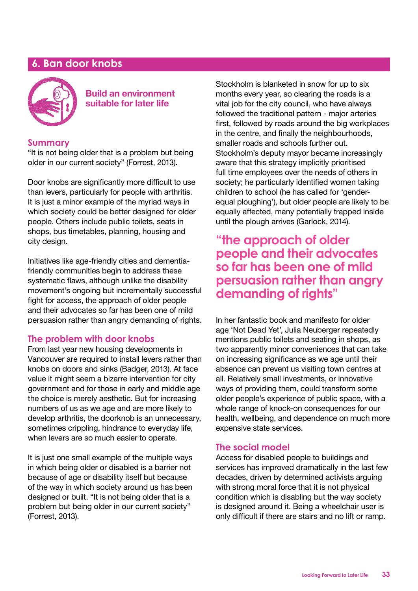### **6. Ban door knobs**



 **Build an environment suitable for later life**

### **Summary**

"It is not being older that is a problem but being older in our current society" (Forrest, 2013).

Door knobs are significantly more difficult to use than levers, particularly for people with arthritis. It is just a minor example of the myriad ways in which society could be better designed for older people. Others include public toilets, seats in shops, bus timetables, planning, housing and city design.

Initiatives like age-friendly cities and dementiafriendly communities begin to address these systematic flaws, although unlike the disability movement's ongoing but incrementally successful fight for access, the approach of older people and their advocates so far has been one of mild persuasion rather than angry demanding of rights.

### **The problem with door knobs**

From last year new housing developments in Vancouver are required to install levers rather than knobs on doors and sinks (Badger, 2013). At face value it might seem a bizarre intervention for city government and for those in early and middle age the choice is merely aesthetic. But for increasing numbers of us as we age and are more likely to develop arthritis, the doorknob is an unnecessary, sometimes crippling, hindrance to everyday life, when levers are so much easier to operate.

It is just one small example of the multiple ways in which being older or disabled is a barrier not because of age or disability itself but because of the way in which society around us has been designed or built. "It is not being older that is a problem but being older in our current society" (Forrest, 2013).

Stockholm is blanketed in snow for up to six months every year, so clearing the roads is a vital job for the city council, who have always followed the traditional pattern - major arteries first, followed by roads around the big workplaces in the centre, and finally the neighbourhoods, smaller roads and schools further out. Stockholm's deputy mayor became increasingly aware that this strategy implicitly prioritised full time employees over the needs of others in society; he particularly identified women taking children to school (he has called for 'genderequal ploughing'), but older people are likely to be equally affected, many potentially trapped inside until the plough arrives (Garlock, 2014).

### **"the approach of older people and their advocates so far has been one of mild persuasion rather than angry demanding of rights"**

In her fantastic book and manifesto for older age 'Not Dead Yet', Julia Neuberger repeatedly mentions public toilets and seating in shops, as two apparently minor conveniences that can take on increasing significance as we age until their absence can prevent us visiting town centres at all. Relatively small investments, or innovative ways of providing them, could transform some older people's experience of public space, with a whole range of knock-on consequences for our health, wellbeing, and dependence on much more expensive state services.

### **The social model**

Access for disabled people to buildings and services has improved dramatically in the last few decades, driven by determined activists arguing with strong moral force that it is not physical condition which is disabling but the way society is designed around it. Being a wheelchair user is only difficult if there are stairs and no lift or ramp.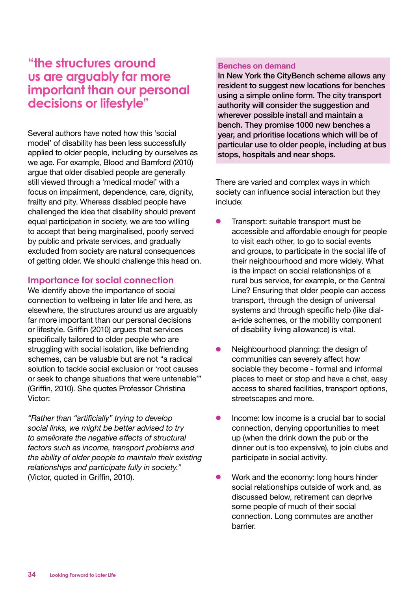### **"the structures around us are arguably far more important than our personal decisions or lifestyle"**

Several authors have noted how this 'social model' of disability has been less successfully applied to older people, including by ourselves as we age. For example, Blood and Bamford (2010) argue that older disabled people are generally still viewed through a 'medical model' with a focus on impairment, dependence, care, dignity, frailty and pity. Whereas disabled people have challenged the idea that disability should prevent equal participation in society, we are too willing to accept that being marginalised, poorly served by public and private services, and gradually excluded from society are natural consequences of getting older. We should challenge this head on.

### **Importance for social connection**

We identify above the importance of social connection to wellbeing in later life and here, as elsewhere, the structures around us are arguably far more important than our personal decisions or lifestyle. Griffin (2010) argues that services specifically tailored to older people who are struggling with social isolation, like befriending schemes, can be valuable but are not "a radical solution to tackle social exclusion or 'root causes or seek to change situations that were untenable'" (Griffin, 2010). She quotes Professor Christina Victor:

*"Rather than "artificially" trying to develop social links, we might be better advised to try to ameliorate the negative effects of structural factors such as income, transport problems and the ability of older people to maintain their existing relationships and participate fully in society."* (Victor, quoted in Griffin, 2010).

#### **Benches on demand**

In New York the CityBench scheme allows any resident to suggest new locations for benches using a simple online form. The city transport authority will consider the suggestion and wherever possible install and maintain a bench. They promise 1000 new benches a year, and prioritise locations which will be of particular use to older people, including at bus stops, hospitals and near shops.

There are varied and complex ways in which society can influence social interaction but they include:

- Transport: suitable transport must be accessible and affordable enough for people to visit each other, to go to social events and groups, to participate in the social life of their neighbourhood and more widely. What is the impact on social relationships of a rural bus service, for example, or the Central Line? Ensuring that older people can access transport, through the design of universal systems and through specific help (like diala-ride schemes, or the mobility component of disability living allowance) is vital.
- Neighbourhood planning: the design of communities can severely affect how sociable they become - formal and informal places to meet or stop and have a chat, easy access to shared facilities, transport options, streetscapes and more.
- l Income: low income is a crucial bar to social connection, denying opportunities to meet up (when the drink down the pub or the dinner out is too expensive), to join clubs and participate in social activity.
- Work and the economy: long hours hinder social relationships outside of work and, as discussed below, retirement can deprive some people of much of their social connection. Long commutes are another barrier.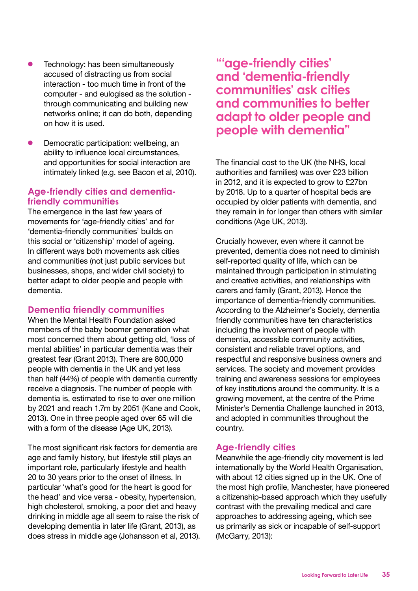- Technology: has been simultaneously accused of distracting us from social interaction - too much time in front of the computer - and eulogised as the solution through communicating and building new networks online; it can do both, depending on how it is used.
- Democratic participation: wellbeing, an ability to influence local circumstances, and opportunities for social interaction are intimately linked (e.g. see Bacon et al, 2010).

### **Age-friendly cities and dementiafriendly communities**

The emergence in the last few years of movements for 'age-friendly cities' and for 'dementia-friendly communities' builds on this social or 'citizenship' model of ageing. In different ways both movements ask cities and communities (not just public services but businesses, shops, and wider civil society) to better adapt to older people and people with dementia.

### **Dementia friendly communities**

When the Mental Health Foundation asked members of the baby boomer generation what most concerned them about getting old, 'loss of mental abilities' in particular dementia was their greatest fear (Grant 2013). There are 800,000 people with dementia in the UK and yet less than half (44%) of people with dementia currently receive a diagnosis. The number of people with dementia is, estimated to rise to over one million by 2021 and reach 1.7m by 2051 (Kane and Cook, 2013). One in three people aged over 65 will die with a form of the disease (Age UK, 2013).

The most significant risk factors for dementia are age and family history, but lifestyle still plays an important role, particularly lifestyle and health 20 to 30 years prior to the onset of illness. In particular 'what's good for the heart is good for the head' and vice versa - obesity, hypertension, high cholesterol, smoking, a poor diet and heavy drinking in middle age all seem to raise the risk of developing dementia in later life (Grant, 2013), as does stress in middle age (Johansson et al, 2013).

### **"'age-friendly cities' and 'dementia-friendly communities' ask cities and communities to better adapt to older people and people with dementia"**

The financial cost to the UK (the NHS, local authorities and families) was over £23 billion in 2012, and it is expected to grow to £27bn by 2018. Up to a quarter of hospital beds are occupied by older patients with dementia, and they remain in for longer than others with similar conditions (Age UK, 2013).

Crucially however, even where it cannot be prevented, dementia does not need to diminish self-reported quality of life, which can be maintained through participation in stimulating and creative activities, and relationships with carers and family (Grant, 2013). Hence the importance of dementia-friendly communities. According to the Alzheimer's Society, dementia friendly communities have ten characteristics including the involvement of people with dementia, accessible community activities, consistent and reliable travel options, and respectful and responsive business owners and services. The society and movement provides training and awareness sessions for employees of key institutions around the community. It is a growing movement, at the centre of the Prime Minister's Dementia Challenge launched in 2013, and adopted in communities throughout the country.

### **Age-friendly cities**

Meanwhile the age-friendly city movement is led internationally by the World Health Organisation, with about 12 cities signed up in the UK. One of the most high profile, Manchester, have pioneered a citizenship-based approach which they usefully contrast with the prevailing medical and care approaches to addressing ageing, which see us primarily as sick or incapable of self-support (McGarry, 2013):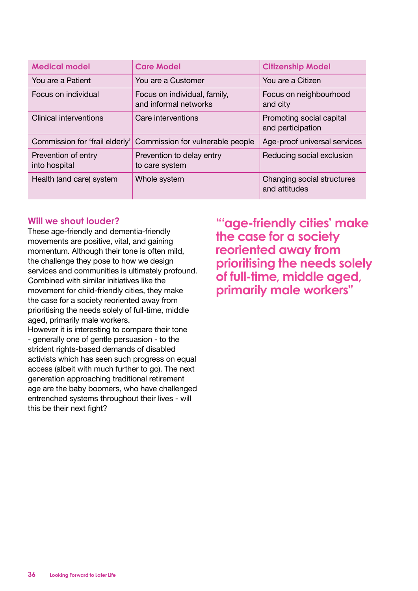| <b>Medical model</b>                 | <b>Care Model</b>                                     | <b>Citizenship Model</b>                      |
|--------------------------------------|-------------------------------------------------------|-----------------------------------------------|
| You are a Patient                    | You are a Customer                                    | You are a Citizen                             |
| Focus on individual                  | Focus on individual, family,<br>and informal networks | Focus on neighbourhood<br>and city            |
| Clinical interventions               | Care interventions                                    | Promoting social capital<br>and participation |
| Commission for 'frail elderly'       | Commission for vulnerable people                      | Age-proof universal services                  |
| Prevention of entry<br>into hospital | Prevention to delay entry<br>to care system           | Reducing social exclusion                     |
| Health (and care) system             | Whole system                                          | Changing social structures<br>and attitudes   |

### **Will we shout louder?**

These age-friendly and dementia-friendly movements are positive, vital, and gaining momentum. Although their tone is often mild. the challenge they pose to how we design services and communities is ultimately profound. Combined with similar initiatives like the movement for child-friendly cities, they make the case for a society reoriented away from prioritising the needs solely of full-time, middle aged, primarily male workers.

However it is interesting to compare their tone - generally one of gentle persuasion - to the strident rights-based demands of disabled activists which has seen such progress on equal access (albeit with much further to go). The next generation approaching traditional retirement age are the baby boomers, who have challenged entrenched systems throughout their lives - will this be their next fight?

**"'age-friendly cities' make the case for a society reoriented away from prioritising the needs solely of full-time, middle aged, primarily male workers"**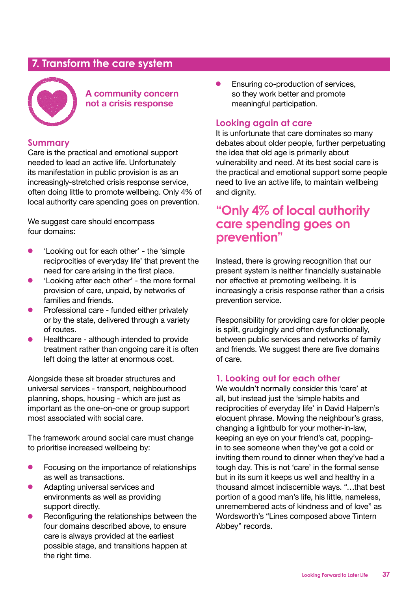### **7. Transform the care system**



**A community concern not a crisis response**

### **Summary**

Care is the practical and emotional support needed to lead an active life. Unfortunately its manifestation in public provision is as an increasingly-stretched crisis response service, often doing little to promote wellbeing. Only 4% of local authority care spending goes on prevention.

We suggest care should encompass four domains:

- 'Looking out for each other' the 'simple' reciprocities of everyday life' that prevent the need for care arising in the first place.
- 'Looking after each other' the more formal provision of care, unpaid, by networks of families and friends.
- **•** Professional care funded either privately or by the state, delivered through a variety of routes.
- Healthcare although intended to provide treatment rather than ongoing care it is often left doing the latter at enormous cost.

Alongside these sit broader structures and universal services - transport, neighbourhood planning, shops, housing - which are just as important as the one-on-one or group support most associated with social care.

The framework around social care must change to prioritise increased wellbeing by:

- Focusing on the importance of relationships as well as transactions.
- Adapting universal services and environments as well as providing support directly.
- Reconfiguring the relationships between the four domains described above, to ensure care is always provided at the earliest possible stage, and transitions happen at the right time.

**•** Ensuring co-production of services, so they work better and promote meaningful participation.

### **Looking again at care**

It is unfortunate that care dominates so many debates about older people, further perpetuating the idea that old age is primarily about vulnerability and need. At its best social care is the practical and emotional support some people need to live an active life, to maintain wellbeing and dignity.

### **"Only 4% of local authority care spending goes on prevention"**

Instead, there is growing recognition that our present system is neither financially sustainable nor effective at promoting wellbeing. It is increasingly a crisis response rather than a crisis prevention service.

Responsibility for providing care for older people is split, grudgingly and often dysfunctionally, between public services and networks of family and friends. We suggest there are five domains of care.

### **1. Looking out for each other**

We wouldn't normally consider this 'care' at all, but instead just the 'simple habits and reciprocities of everyday life' in David Halpern's eloquent phrase. Mowing the neighbour's grass, changing a lightbulb for your mother-in-law, keeping an eye on your friend's cat, poppingin to see someone when they've got a cold or inviting them round to dinner when they've had a tough day. This is not 'care' in the formal sense but in its sum it keeps us well and healthy in a thousand almost indiscernible ways. "…that best portion of a good man's life, his little, nameless, unremembered acts of kindness and of love" as Wordsworth's "Lines composed above Tintern Abbey" records.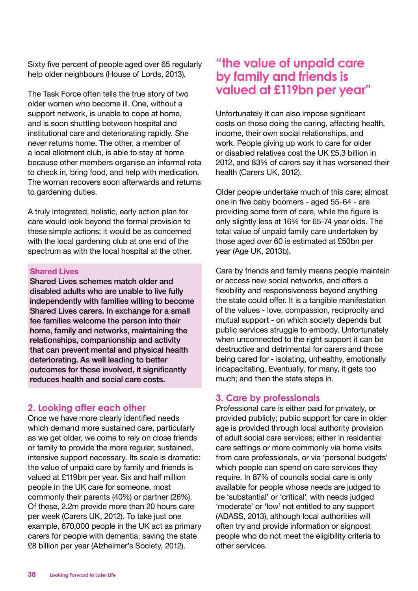Sixty five percent of people aged over 65 regularly help older neighbours (House of Lords, 2013).

The Task Force often tells the true story of two older women who become ill. One, without a support network, is unable to cope at home, and is soon shuttling between hospital and institutional care and deteriorating rapidly. She never returns home. The other, a member of a local allotment club, is able to stay at home because other members organise an informal rota to check in, bring food, and help with medication. The woman recovers soon afterwards and returns to gardening duties.

A truly integrated, holistic, early action plan for care would look beyond the formal provision to these simple actions; it would be as concerned with the local gardening club at one end of the spectrum as with the local hospital at the other.

#### **Shared Lives**

Shared Lives schemes match older and disabled adults who are unable to live fully independently with families willing to become Shared Lives carers. In exchange for a small fee families welcome the person into their home, family and networks, maintaining the relationships, companionship and activity that can prevent mental and physical health deteriorating. As well leading to better outcomes for those involved, it significantly reduces health and social care costs.

### **2. Looking after each other**

Once we have more clearly identified needs which demand more sustained care, particularly as we get older, we come to rely on close friends or family to provide the more regular, sustained, intensive support necessary. Its scale is dramatic: the value of unpaid care by family and friends is valued at £119bn per year. Six and half million people in the UK care for someone, most commonly their parents (40%) or partner (26%). Of these, 2.2m provide more than 20 hours care per week (Carers UK, 2012). To take just one example, 670,000 people in the UK act as primary carers for people with dementia, saving the state £8 billion per year (Alzheimer's Society, 2012).

### **"the value of unpaid care by family and friends is valued at £119bn per year"**

Unfortunately it can also impose significant costs on those doing the caring, affecting health, income, their own social relationships, and work. People giving up work to care for older or disabled relatives cost the UK £5.3 billion in 2012, and 83% of carers say it has worsened their health (Carers UK, 2012).

Older people undertake much of this care; almost one in five baby boomers - aged 55-64 - are providing some form of care, while the figure is only slightly less at 16% for 65-74 year olds. The total value of unpaid family care undertaken by those aged over 60 is estimated at £50bn per year (Age UK, 2013b).

Care by friends and family means people maintain or access new social networks, and offers a flexibility and responsiveness beyond anything the state could offer. It is a tangible manifestation of the values - love, compassion, reciprocity and mutual support - on which society depends but public services struggle to embody. Unfortunately when unconnected to the right support it can be destructive and detrimental for carers and those being cared for - isolating, unhealthy, emotionally incapacitating. Eventually, for many, it gets too much; and then the state steps in.

### **3. Care by professionals**

Professional care is either paid for privately, or provided publicly; public support for care in older age is provided through local authority provision of adult social care services; either in residential care settings or more commonly via home visits from care professionals, or via 'personal budgets' which people can spend on care services they require. In 87% of councils social care is only available for people whose needs are judged to be 'substantial' or 'critical', with needs judged 'moderate' or 'low' not entitled to any support (ADASS, 2013), although local authorities will often try and provide information or signpost people who do not meet the eligibility criteria to other services.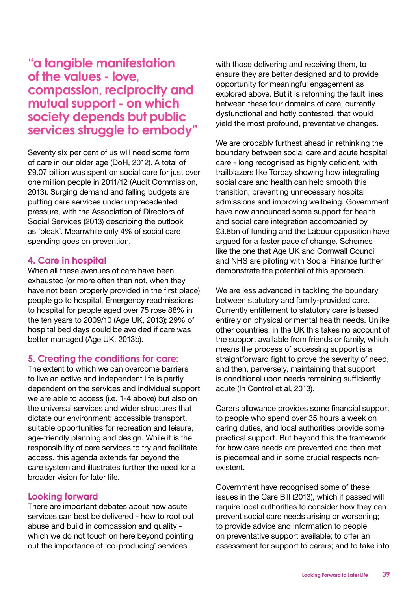**"a tangible manifestation of the values - love, compassion, reciprocity and mutual support - on which society depends but public services struggle to embody"**

Seventy six per cent of us will need some form of care in our older age (DoH, 2012). A total of £9.07 billion was spent on social care for just over one million people in 2011/12 (Audit Commission, 2013). Surging demand and falling budgets are putting care services under unprecedented pressure, with the Association of Directors of Social Services (2013) describing the outlook as 'bleak'. Meanwhile only 4% of social care spending goes on prevention.

#### **4. Care in hospital**

When all these avenues of care have been exhausted (or more often than not, when they have not been properly provided in the first place) people go to hospital. Emergency readmissions to hospital for people aged over 75 rose 88% in the ten years to 2009/10 (Age UK, 2013); 29% of hospital bed days could be avoided if care was better managed (Age UK, 2013b).

### **5. Creating the conditions for care:**

The extent to which we can overcome barriers to live an active and independent life is partly dependent on the services and individual support we are able to access (i.e. 1-4 above) but also on the universal services and wider structures that dictate our environment; accessible transport, suitable opportunities for recreation and leisure, age-friendly planning and design. While it is the responsibility of care services to try and facilitate access, this agenda extends far beyond the care system and illustrates further the need for a broader vision for later life.

#### **Looking forward**

There are important debates about how acute services can best be delivered - how to root out abuse and build in compassion and quality which we do not touch on here beyond pointing out the importance of 'co-producing' services

with those delivering and receiving them, to ensure they are better designed and to provide opportunity for meaningful engagement as explored above. But it is reforming the fault lines between these four domains of care, currently dysfunctional and hotly contested, that would yield the most profound, preventative changes.

We are probably furthest ahead in rethinking the boundary between social care and acute hospital care - long recognised as highly deficient, with trailblazers like Torbay showing how integrating social care and health can help smooth this transition, preventing unnecessary hospital admissions and improving wellbeing. Government have now announced some support for health and social care integration accompanied by £3.8bn of funding and the Labour opposition have argued for a faster pace of change. Schemes like the one that Age UK and Cornwall Council and NHS are piloting with Social Finance further demonstrate the potential of this approach.

We are less advanced in tackling the boundary between statutory and family-provided care. Currently entitlement to statutory care is based entirely on physical or mental health needs. Unlike other countries, in the UK this takes no account of the support available from friends or family, which means the process of accessing support is a straightforward fight to prove the severity of need, and then, perversely, maintaining that support is conditional upon needs remaining sufficiently acute (In Control et al, 2013).

Carers allowance provides some financial support to people who spend over 35 hours a week on caring duties, and local authorities provide some practical support. But beyond this the framework for how care needs are prevented and then met is piecemeal and in some crucial respects nonexistent.

Government have recognised some of these issues in the Care Bill (2013), which if passed will require local authorities to consider how they can prevent social care needs arising or worsening; to provide advice and information to people on preventative support available; to offer an assessment for support to carers; and to take into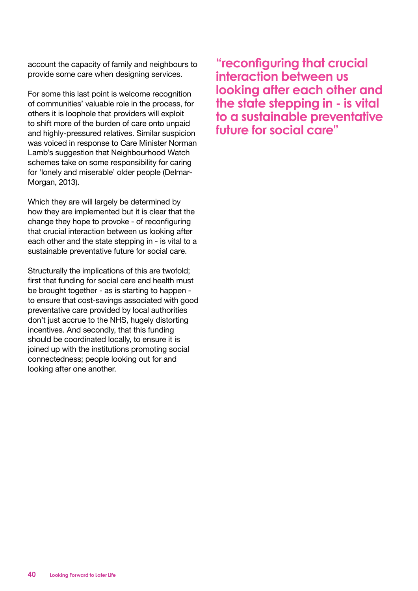account the capacity of family and neighbours to provide some care when designing services.

For some this last point is welcome recognition of communities' valuable role in the process, for others it is loophole that providers will exploit to shift more of the burden of care onto unpaid and highly-pressured relatives. Similar suspicion was voiced in response to Care Minister Norman Lamb's suggestion that Neighbourhood Watch schemes take on some responsibility for caring for 'lonely and miserable' older people (Delmar-Morgan, 2013).

Which they are will largely be determined by how they are implemented but it is clear that the change they hope to provoke - of reconfiguring that crucial interaction between us looking after each other and the state stepping in - is vital to a sustainable preventative future for social care.

Structurally the implications of this are twofold; first that funding for social care and health must be brought together - as is starting to happen to ensure that cost-savings associated with good preventative care provided by local authorities don't just accrue to the NHS, hugely distorting incentives. And secondly, that this funding should be coordinated locally, to ensure it is joined up with the institutions promoting social connectedness; people looking out for and looking after one another.

**"reconfiguring that crucial interaction between us looking after each other and the state stepping in - is vital to a sustainable preventative future for social care"**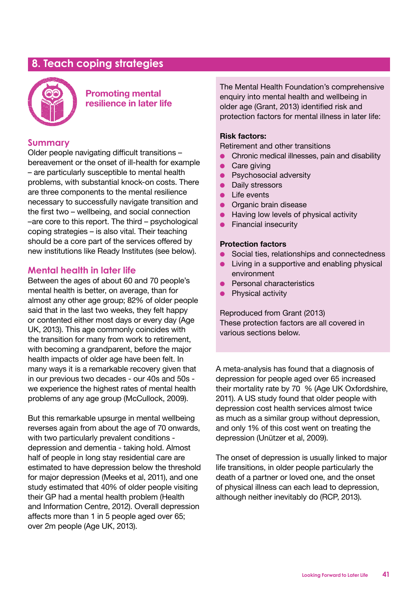### **8. Teach coping strategies**



### **Promoting mental resilience in later life**

### **Summary**

Older people navigating difficult transitions – bereavement or the onset of ill-health for example – are particularly susceptible to mental health problems, with substantial knock-on costs. There are three components to the mental resilience necessary to successfully navigate transition and the first two – wellbeing, and social connection –are core to this report. The third – psychological coping strategies – is also vital. Their teaching should be a core part of the services offered by new institutions like Ready Institutes (see below).

### **Mental health in later life**

Between the ages of about 60 and 70 people's mental health is better, on average, than for almost any other age group; 82% of older people said that in the last two weeks, they felt happy or contented either most days or every day (Age UK, 2013). This age commonly coincides with the transition for many from work to retirement, with becoming a grandparent, before the major health impacts of older age have been felt. In many ways it is a remarkable recovery given that in our previous two decades - our 40s and 50s we experience the highest rates of mental health problems of any age group (McCullock, 2009).

But this remarkable upsurge in mental wellbeing reverses again from about the age of 70 onwards, with two particularly prevalent conditions depression and dementia - taking hold. Almost half of people in long stay residential care are estimated to have depression below the threshold for major depression (Meeks et al, 2011), and one study estimated that 40% of older people visiting their GP had a mental health problem (Health and Information Centre, 2012). Overall depression affects more than 1 in 5 people aged over 65; over 2m people (Age UK, 2013).

The Mental Health Foundation's comprehensive enquiry into mental health and wellbeing in older age (Grant, 2013) identified risk and protection factors for mental illness in later life:

#### **Risk factors:**

Retirement and other transitions

- **•** Chronic medical illnesses, pain and disability
- $\bullet$  Care giving
- **•** Psychosocial adversity
- Daily stressors
- $\bullet$  Life events
- Organic brain disease
- $\bullet$  Having low levels of physical activity
- $\bullet$  Financial insecurity

#### **Protection factors**

- **•** Social ties, relationships and connectedness
- $\bullet$  Living in a supportive and enabling physical environment
- **e** Personal characteristics
- $\bullet$  Physical activity

Reproduced from Grant (2013) These protection factors are all covered in various sections below.

A meta-analysis has found that a diagnosis of depression for people aged over 65 increased their mortality rate by 70 % (Age UK Oxfordshire, 2011). A US study found that older people with depression cost health services almost twice as much as a similar group without depression, and only 1% of this cost went on treating the depression (Unützer et al, 2009).

The onset of depression is usually linked to major life transitions, in older people particularly the death of a partner or loved one, and the onset of physical illness can each lead to depression, although neither inevitably do (RCP, 2013).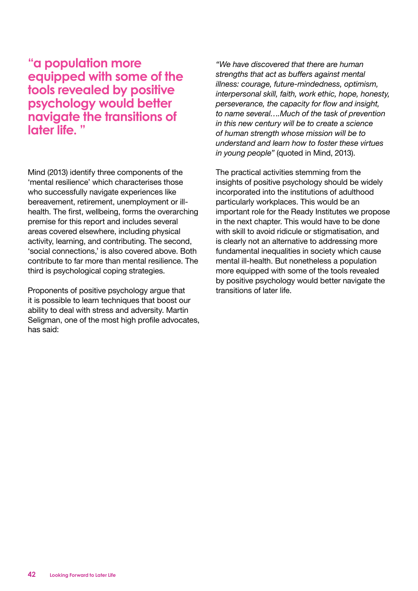**"a population more equipped with some of the tools revealed by positive psychology would better navigate the transitions of later life. "**

Mind (2013) identify three components of the 'mental resilience' which characterises those who successfully navigate experiences like bereavement, retirement, unemployment or illhealth. The first, wellbeing, forms the overarching premise for this report and includes several areas covered elsewhere, including physical activity, learning, and contributing. The second, 'social connections,' is also covered above. Both contribute to far more than mental resilience. The third is psychological coping strategies.

Proponents of positive psychology argue that it is possible to learn techniques that boost our ability to deal with stress and adversity. Martin Seligman, one of the most high profile advocates, has said:

*"We have discovered that there are human strengths that act as buffers against mental illness: courage, future-mindedness, optimism, interpersonal skill, faith, work ethic, hope, honesty, perseverance, the capacity for flow and insight, to name several….Much of the task of prevention in this new century will be to create a science of human strength whose mission will be to understand and learn how to foster these virtues in young people"* (quoted in Mind, 2013).

The practical activities stemming from the insights of positive psychology should be widely incorporated into the institutions of adulthood particularly workplaces. This would be an important role for the Ready Institutes we propose in the next chapter. This would have to be done with skill to avoid ridicule or stigmatisation, and is clearly not an alternative to addressing more fundamental inequalities in society which cause mental ill-health. But nonetheless a population more equipped with some of the tools revealed by positive psychology would better navigate the transitions of later life.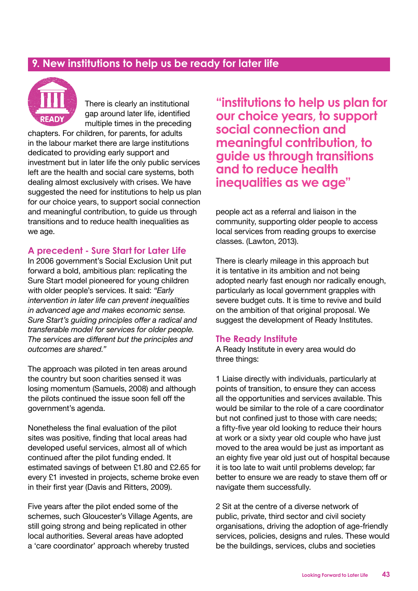### **9. New institutions to help us be ready for later life**



There is clearly an institutional gap around later life, identified multiple times in the preceding

chapters. For children, for parents, for adults in the labour market there are large institutions dedicated to providing early support and investment but in later life the only public services left are the health and social care systems, both dealing almost exclusively with crises. We have suggested the need for institutions to help us plan for our choice years, to support social connection and meaningful contribution, to guide us through transitions and to reduce health inequalities as we age.

### **A precedent - Sure Start for Later Life**

In 2006 government's Social Exclusion Unit put forward a bold, ambitious plan: replicating the Sure Start model pioneered for young children with older people's services. It said: *"Early intervention in later life can prevent inequalities in advanced age and makes economic sense. Sure Start's guiding principles offer a radical and transferable model for services for older people. The services are different but the principles and outcomes are shared."*

The approach was piloted in ten areas around the country but soon charities sensed it was losing momentum (Samuels, 2008) and although the pilots continued the issue soon fell off the government's agenda.

Nonetheless the final evaluation of the pilot sites was positive, finding that local areas had developed useful services, almost all of which continued after the pilot funding ended. It estimated savings of between £1.80 and £2.65 for every £1 invested in projects, scheme broke even in their first year (Davis and Ritters, 2009).

Five years after the pilot ended some of the schemes, such Gloucester's Village Agents, are still going strong and being replicated in other local authorities. Several areas have adopted a 'care coordinator' approach whereby trusted

**"institutions to help us plan for our choice years, to support social connection and meaningful contribution, to guide us through transitions and to reduce health inequalities as we age"**

people act as a referral and liaison in the community, supporting older people to access local services from reading groups to exercise classes. (Lawton, 2013).

There is clearly mileage in this approach but it is tentative in its ambition and not being adopted nearly fast enough nor radically enough, particularly as local government grapples with severe budget cuts. It is time to revive and build on the ambition of that original proposal. We suggest the development of Ready Institutes.

### **The Ready Institute**

A Ready Institute in every area would do three things:

1 Liaise directly with individuals, particularly at points of transition, to ensure they can access all the opportunities and services available. This would be similar to the role of a care coordinator but not confined just to those with care needs; a fifty-five year old looking to reduce their hours at work or a sixty year old couple who have just moved to the area would be just as important as an eighty five year old just out of hospital because it is too late to wait until problems develop; far better to ensure we are ready to stave them off or navigate them successfully.

2 Sit at the centre of a diverse network of public, private, third sector and civil society organisations, driving the adoption of age-friendly services, policies, designs and rules. These would be the buildings, services, clubs and societies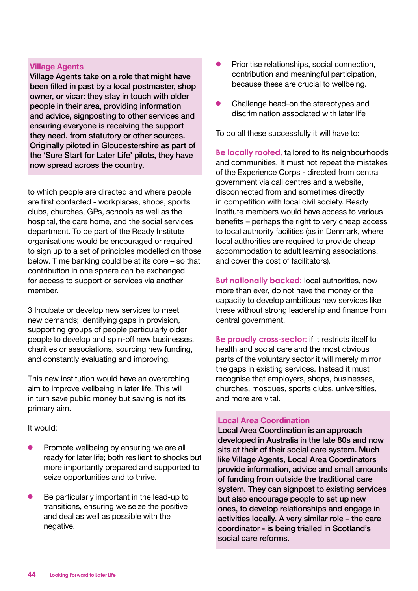#### **Village Agents**

Village Agents take on a role that might have been filled in past by a local postmaster, shop owner, or vicar: they stay in touch with older people in their area, providing information and advice, signposting to other services and ensuring everyone is receiving the support they need, from statutory or other sources. Originally piloted in Gloucestershire as part of the 'Sure Start for Later Life' pilots, they have now spread across the country.

to which people are directed and where people are first contacted - workplaces, shops, sports clubs, churches, GPs, schools as well as the hospital, the care home, and the social services department. To be part of the Ready Institute organisations would be encouraged or required to sign up to a set of principles modelled on those below. Time banking could be at its core – so that contribution in one sphere can be exchanged for access to support or services via another member.

3 Incubate or develop new services to meet new demands; identifying gaps in provision, supporting groups of people particularly older people to develop and spin-off new businesses, charities or associations, sourcing new funding, and constantly evaluating and improving.

This new institution would have an overarching aim to improve wellbeing in later life. This will in turn save public money but saving is not its primary aim.

#### It would:

- Promote wellbeing by ensuring we are all ready for later life; both resilient to shocks but more importantly prepared and supported to seize opportunities and to thrive.
- Be particularly important in the lead-up to transitions, ensuring we seize the positive and deal as well as possible with the negative.
- Prioritise relationships, social connection, contribution and meaningful participation, because these are crucial to wellbeing.
- Challenge head-on the stereotypes and discrimination associated with later life

To do all these successfully it will have to:

**Be locally rooted,** tailored to its neighbourhoods and communities. It must not repeat the mistakes of the Experience Corps - directed from central government via call centres and a website, disconnected from and sometimes directly in competition with local civil society. Ready Institute members would have access to various benefits – perhaps the right to very cheap access to local authority facilities (as in Denmark, where local authorities are required to provide cheap accommodation to adult learning associations, and cover the cost of facilitators).

**But nationally backed:** local authorities, now more than ever, do not have the money or the capacity to develop ambitious new services like these without strong leadership and finance from central government.

**Be proudly cross-sector:** if it restricts itself to health and social care and the most obvious parts of the voluntary sector it will merely mirror the gaps in existing services. Instead it must recognise that employers, shops, businesses, churches, mosques, sports clubs, universities, and more are vital.

### **Local Area Coordination**

Local Area Coordination is an approach developed in Australia in the late 80s and now sits at their of their social care system. Much like Village Agents, Local Area Coordinators provide information, advice and small amounts of funding from outside the traditional care system. They can signpost to existing services but also encourage people to set up new ones, to develop relationships and engage in activities locally. A very similar role – the care coordinator - is being trialled in Scotland's social care reforms.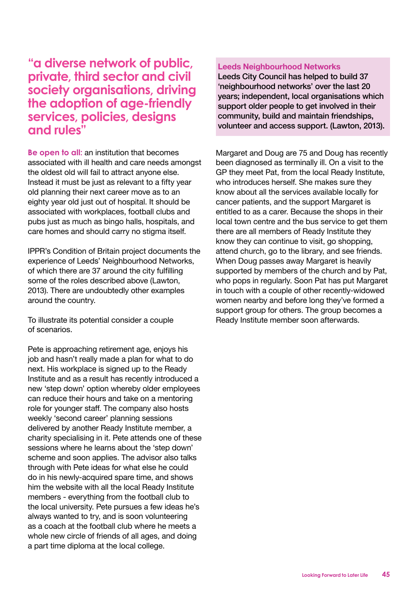**"a diverse network of public, private, third sector and civil society organisations, driving the adoption of age-friendly services, policies, designs and rules"**

**Be open to all:** an institution that becomes associated with ill health and care needs amongst the oldest old will fail to attract anyone else. Instead it must be just as relevant to a fifty year old planning their next career move as to an eighty year old just out of hospital. It should be associated with workplaces, football clubs and pubs just as much as bingo halls, hospitals, and care homes and should carry no stigma itself.

IPPR's Condition of Britain project documents the experience of Leeds' Neighbourhood Networks, of which there are 37 around the city fulfilling some of the roles described above (Lawton, 2013). There are undoubtedly other examples around the country.

To illustrate its potential consider a couple of scenarios.

Pete is approaching retirement age, enjoys his job and hasn't really made a plan for what to do next. His workplace is signed up to the Ready Institute and as a result has recently introduced a new 'step down' option whereby older employees can reduce their hours and take on a mentoring role for younger staff. The company also hosts weekly 'second career' planning sessions delivered by another Ready Institute member, a charity specialising in it. Pete attends one of these sessions where he learns about the 'step down' scheme and soon applies. The advisor also talks through with Pete ideas for what else he could do in his newly-acquired spare time, and shows him the website with all the local Ready Institute members - everything from the football club to the local university. Pete pursues a few ideas he's always wanted to try, and is soon volunteering as a coach at the football club where he meets a whole new circle of friends of all ages, and doing a part time diploma at the local college.

#### **Leeds Neighbourhood Networks**

Leeds City Council has helped to build 37 'neighbourhood networks' over the last 20 years; independent, local organisations which support older people to get involved in their community, build and maintain friendships, volunteer and access support. (Lawton, 2013).

Margaret and Doug are 75 and Doug has recently been diagnosed as terminally ill. On a visit to the GP they meet Pat, from the local Ready Institute, who introduces herself. She makes sure they know about all the services available locally for cancer patients, and the support Margaret is entitled to as a carer. Because the shops in their local town centre and the bus service to get them there are all members of Ready Institute they know they can continue to visit, go shopping, attend church, go to the library, and see friends. When Doug passes away Margaret is heavily supported by members of the church and by Pat, who pops in regularly. Soon Pat has put Margaret in touch with a couple of other recently-widowed women nearby and before long they've formed a support group for others. The group becomes a Ready Institute member soon afterwards.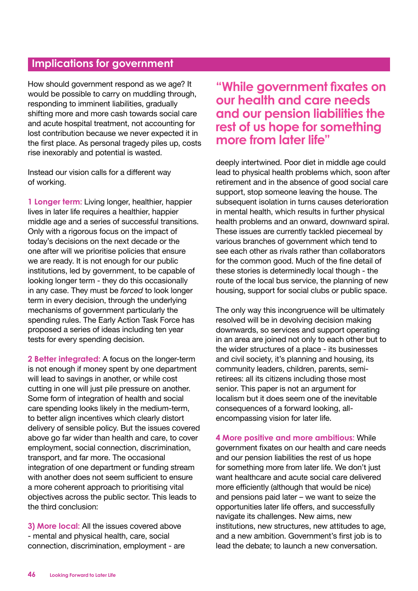### **Implications for government**

How should government respond as we age? It would be possible to carry on muddling through, responding to imminent liabilities, gradually shifting more and more cash towards social care and acute hospital treatment, not accounting for lost contribution because we never expected it in the first place. As personal tragedy piles up, costs rise inexorably and potential is wasted.

Instead our vision calls for a different way of working.

**1 Longer term:** Living longer, healthier, happier lives in later life requires a healthier, happier middle age and a series of successful transitions. Only with a rigorous focus on the impact of today's decisions on the next decade or the one after will we prioritise policies that ensure we are ready. It is not enough for our public institutions, led by government, to be capable of looking longer term - they do this occasionally in any case. They must be *forced* to look longer term in every decision, through the underlying mechanisms of government particularly the spending rules. The Early Action Task Force has proposed a series of ideas including ten year tests for every spending decision.

**2 Better integrated:** A focus on the longer-term is not enough if money spent by one department will lead to savings in another, or while cost cutting in one will just pile pressure on another. Some form of integration of health and social care spending looks likely in the medium-term, to better align incentives which clearly distort delivery of sensible policy. But the issues covered above go far wider than health and care, to cover employment, social connection, discrimination, transport, and far more. The occasional integration of one department or funding stream with another does not seem sufficient to ensure a more coherent approach to prioritising vital objectives across the public sector. This leads to the third conclusion:

**3) More local:** All the issues covered above - mental and physical health, care, social connection, discrimination, employment - are

**"While government fixates on our health and care needs and our pension liabilities the rest of us hope for something more from later life"**

deeply intertwined. Poor diet in middle age could lead to physical health problems which, soon after retirement and in the absence of good social care support, stop someone leaving the house. The subsequent isolation in turns causes deterioration in mental health, which results in further physical health problems and an onward, downward spiral. These issues are currently tackled piecemeal by various branches of government which tend to see each other as rivals rather than collaborators for the common good. Much of the fine detail of these stories is determinedly local though - the route of the local bus service, the planning of new housing, support for social clubs or public space.

The only way this incongruence will be ultimately resolved will be in devolving decision making downwards, so services and support operating in an area are joined not only to each other but to the wider structures of a place - its businesses and civil society, it's planning and housing, its community leaders, children, parents, semiretirees: all its citizens including those most senior. This paper is not an argument for localism but it does seem one of the inevitable consequences of a forward looking, allencompassing vision for later life.

**4 More positive and more ambitious:** While government fixates on our health and care needs and our pension liabilities the rest of us hope for something more from later life. We don't just want healthcare and acute social care delivered more efficiently (although that would be nice) and pensions paid later – we want to seize the opportunities later life offers, and successfully navigate its challenges. New aims, new institutions, new structures, new attitudes to age, and a new ambition. Government's first job is to lead the debate; to launch a new conversation.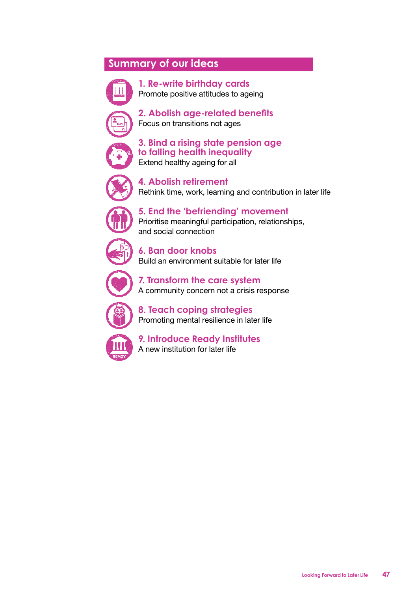### **Summary of our ideas**



**1. Re-write birthday cards** Promote positive attitudes to ageing



**2. Abolish age-related benefits** Focus on transitions not ages



**3. Bind a rising state pension age to falling health inequality** Extend healthy ageing for all



**4. Abolish retirement** Rethink time, work, learning and contribution in later life



**5. End the 'befriending' movement** Prioritise meaningful participation, relationships, and social connection



**6. Ban door knobs** Build an environment suitable for later life



**7. Transform the care system** A community concern not a crisis response



**8. Teach coping strategies** Promoting mental resilience in later life



**9. Introduce Ready Institutes** A new institution for later life

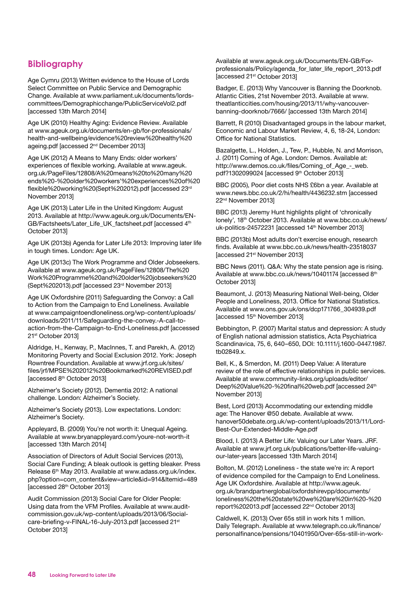### **Bibliography**

Age Cymru (2013) Written evidence to the House of Lords Select Committee on Public Service and Demographic Change. Available at www.parliament.uk/documents/lordscommittees/Demographicchange/PublicServiceVol2.pdf [accessed 13th March 2014]

Age UK (2010) Healthy Aging: Evidence Review. Available at www.ageuk.org.uk/documents/en-gb/for-professionals/ health-and-wellbeing/evidence%20review%20healthy%20 ageing.pdf [accessed 2<sup>nd</sup> December 2013]

Age UK (2012) A Means to Many Ends: older workers' experiences of flexible working. Available at www.ageuk. org.uk/PageFiles/12808/A%20means%20to%20many%20 ends%20-%20older%20workers'%20experiences%20of%20 flexible%20working%20(Sept%202012).pdf [accessed 23rd November 2013]

Age UK (2013) Later Life in the United Kingdom: August 2013. Available at http://www.ageuk.org.uk/Documents/EN-GB/Factsheets/Later\_Life\_UK\_factsheet.pdf [accessed 4<sup>th</sup> October 2013]

Age UK (2013b) Agenda for Later Life 2013: Improving later life in tough times. London: Age UK.

Age UK (2013c) The Work Programme and Older Jobseekers. Available at www.ageuk.org.uk/PageFiles/12808/The%20 Work%20Programme%20and%20older%20jobseekers%20 (Sept%202013).pdf [accessed 23rd November 2013]

Age UK Oxfordshire (2011) Safeguarding the Convoy: a Call to Action from the Campaign to End Loneliness. Available at www.campaigntoendloneliness.org/wp-content/uploads/ downloads/2011/11/Safeguarding-the-convey.-A-call-toaction-from-the-Campaign-to-End-Loneliness.pdf [accessed 21st October 2013]

Aldridge, H., Kenway, P., MacInnes, T. and Parekh, A. (2012) Monitoring Poverty and Social Exclusion 2012. York: Joseph Rowntree Foundation. Available at www.jrf.org.uk/sites/ files/jrf/MPSE%202012%20Bookmarked%20REVISED.pdf [accessed 8th October 2013]

Alzheimer's Society (2012). Dementia 2012: A national challenge. London: Alzheimer's Society.

Alzheimer's Society (2013). Low expectations. London: Alzheimer's Society.

Appleyard, B. (2009) You're not worth it: Unequal Ageing. Available at www.bryanappleyard.com/youre-not-worth-it [accessed 13th March 2014]

Association of Directors of Adult Social Services (2013), Social Care Funding; A bleak outlook is getting bleaker. Press Release 6th May 2013. Available at www.adass.org.uk/index. php?option=com\_content&view=article&id=914&Itemid=489 [accessed 28th October 2013]

Audit Commission (2013) Social Care for Older People: Using data from the VFM Profiles. Available at www.auditcommission.gov.uk/wp-content/uploads/2013/06/Socialcare-briefing-v-FINAL-16-July-2013.pdf [accessed 21st October 2013]

Available at www.ageuk.org.uk/Documents/EN-GB/Forprofessionals/Policy/agenda\_for\_later\_life\_report\_2013.pdf [accessed 21st October 2013]

Badger, E. (2013) Why Vancouver is Banning the Doorknob. Atlantic Cities, 21st November 2013. Available at www. theatlanticcities.com/housing/2013/11/why-vancouverbanning-doorknob/7666/ [accessed 13th March 2014]

Barrett, R (2010) Disadvantaged groups in the labour market, Economic and Labour Market Review, 4, 6, 18-24, London: Office for National Statistics.

Bazalgette, L., Holden, J., Tew, P., Hubble, N. and Morrison, J. (2011) Coming of Age. London: Demos. Available at: http://www.demos.co.uk/files/Coming\_of\_Age\_-\_web. pdf?1302099024 [accessed 9th October 2013]

BBC (2005), Poor diet costs NHS £6bn a year. Available at www.news.bbc.co.uk/2/hi/health/4436232.stm [accessed 22nd November 2013]

BBC (2013) Jeremy Hunt highlights plight of 'chronically lonely', 18th October 2013. Available at www.bbc.co.uk/news/ uk-politics-24572231 [accessed 14<sup>th</sup> November 2013]

BBC (2013b) Most adults don't exercise enough, research finds. Available at www.bbc.co.uk/news/health-23518037 [accessed 21st November 2013]

BBC News (2011). Q&A: Why the state pension age is rising. Available at www.bbc.co.uk/news/10401174 [accessed 8<sup>th</sup> October 2013]

Beaumont, J. (2013) Measuring National Well-being, Older People and Loneliness, 2013. Office for National Statistics. Available at www.ons.gov.uk/ons/dcp171766\_304939.pdf [accessed 15<sup>th</sup> November 2013]

Bebbington, P. (2007) Marital status and depression: A study of English national admission statistics, Acta Psychiatrica Scandinavica, 75, 6, 640–650, DOI: 10.1111/j.1600-0447.1987. tb02849.x.

Bell, K., & Smerdon, M. (2011) Deep Value: A literature review of the role of effective relationships in public services. Available at www.community-links.org/uploads/editor/ Deep%20Value%20-%20final%20web.pdf [accessed 24<sup>th</sup> November 2013]

Best, Lord (2013) Accommodating our extending middle age: The Hanover @50 debate. Available at www. hanover50debate.org.uk/wp-content/uploads/2013/11/Lord-Best-Our-Extended-Middle-Age.pdf

Blood, I. (2013) A Better Life: Valuing our Later Years. JRF. Available at www.jrf.org.uk/publications/better-life-valuingour-later-years [accessed 13th March 2014]

Bolton, M. (2012) Loneliness - the state we're in: A report of evidence compiled for the Campaign to End Loneliness. Age UK Oxfordshire. Available at http://www.ageuk. org.uk/brandpartnerglobal/oxfordshirevpp/documents/ loneliness%20the%20state%20we%20are%20in%20-%20 report%202013.pdf [accessed 22nd October 2013]

Caldwell, K. (2013) Over 65s still in work hits 1 million. Daily Telegraph. Available at www.telegraph.co.uk/finance/ personalfinance/pensions/10401950/Over-65s-still-in-work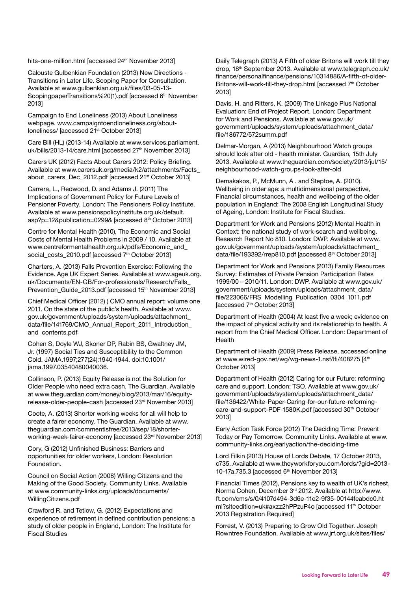hits-one-million.html [accessed 24<sup>th</sup> November 2013]

Calouste Gulbenkian Foundation (2013) New Directions - Transitions in Later Life. Scoping Paper for Consultation. Available at www.gulbenkian.org.uk/files/03-05-13- ScopingpaperTransitions%20(1).pdf [accessed 6<sup>th</sup> November 2013]

Campaign to End Loneliness (2013) About Loneliness webpage. www.campaigntoendloneliness.org/aboutloneliness/ [accessed 21st October 2013]

Care Bill (HL) (2013-14) Available at www.services.parliament. uk/bills/2013-14/care.html [accessed 27<sup>th</sup> November 2013]

Carers UK (2012) Facts About Carers 2012: Policy Briefing. Available at www.carersuk.org/media/k2/attachments/Facts\_ about carers Dec 2012.pdf [accessed 21<sup>st</sup> October 2013]

Carrera, L., Redwood, D. and Adams J. (2011) The Implications of Government Policy for Future Levels of Pensioner Poverty. London: The Pensioners Policy Institute. Available at www.pensionspolicyinstitute.org.uk/default. asp?p=12&publication=0299& [accessed 8<sup>th</sup> October 2013]

Centre for Mental Health (2010), The Economic and Social Costs of Mental Health Problems in 2009 / 10. Available at www.centreformentalhealth.org.uk/pdfs/Economic\_and\_ social\_costs\_2010.pdf [accessed 7<sup>th</sup> October 2013]

Charters, A. (2013) Falls Prevention Exercise: Following the Evidence. Age UK Expert Series. Available at www.ageuk.org. uk/Documents/EN-GB/For-professionals/Research/Falls\_ Prevention\_Guide\_2013.pdf [accessed 15<sup>th</sup> November 2013]

Chief Medical Officer (2012) ) CMO annual report: volume one 2011. On the state of the public's health. Available at www. gov.uk/government/uploads/system/uploads/attachment\_ data/file/141769/CMO\_Annual\_Report\_2011\_Introduction\_ and\_contents.pdf

Cohen S, Doyle WJ, Skoner DP, Rabin BS, Gwaltney JM, Jr. (1997) Social Ties and Susceptibility to the Common Cold. JAMA.1997;277(24):1940-1944. doi:10.1001/ jama.1997.03540480040036.

Collinson, P. (2013) Equity Release is not the Solution for Older People who need extra cash. The Guardian. Available at www.theguardian.com/money/blog/2013/mar/16/equityrelease-older-people-cash [accessed 23rd November 2013]

Coote, A. (2013) Shorter working weeks for all will help to create a fairer economy. The Guardian. Available at www. theguardian.com/commentisfree/2013/sep/18/shorterworking-week-fairer-economy [accessed 23rd November 2013]

Cory, G (2012) Unfinished Business: Barriers and opportunities for older workers, London: Resolution Foundation.

Council on Social Action (2008) Willing Citizens and the Making of the Good Society. Community Links. Available at www.community-links.org/uploads/documents/ WillingCitizens.pdf

Crawford R. and Tetlow, G. (2012) Expectations and experience of retirement in defined contribution pensions: a study of older people in England, London: The Institute for Fiscal Studies

Daily Telegraph (2013) A Fifth of older Britons will work till they drop, 18<sup>th</sup> September 2013. Available at www.telegraph.co.uk/ finance/personalfinance/pensions/10314886/A-fifth-of-older-Britons-will-work-till-they-drop.html [accessed 7<sup>th</sup> October 2013]

Davis, H. and Ritters, K. (2009) The Linkage Plus National Evaluation: End of Project Report. London: Department for Work and Pensions. Available at www.gov.uk/ government/uploads/system/uploads/attachment\_data/ file/186772/572summ.pdf

Delmar-Morgan, A (2013) Neighbourhood Watch groups should look after old - health minister. Guardian, 15th July 2013. Available at www.theguardian.com/society/2013/jul/15/ neighbourhood-watch-groups-look-after-old

Demakakos, P., McMunn, A . and Steptoe, A. (2010). Wellbeing in older age: a multidimensional perspective, Financial circumstances, health and wellbeing of the older population in England: The 2008 English Longitudinal Study of Ageing, London: Institute for Fiscal Studies.

Department for Work and Pensions (2012) Mental Health in Context: the national study of work-search and wellbeing. Research Report No 810. London: DWP. Available at www. gov.uk/government/uploads/system/uploads/attachment\_ data/file/193392/rrep810.pdf [accessed 8<sup>th</sup> October 2013]

Department for Work and Pensions (2013) Family Resources Survey: Estimates of Private Pension Participation Rates 1999/00 – 2010/11. London: DWP. Available at www.gov.uk/ government/uploads/system/uploads/attachment\_data/ file/223066/FRS\_Modelling\_Publication\_0304\_1011.pdf [accessed 7<sup>th</sup> October 2013]

Department of Health (2004) At least five a week; evidence on the impact of physical activity and its relationship to health. A report from the Chief Medical Officer. London: Department of Health

Department of Health (2009) Press Release, accessed online at www.wired-gov.net/wg/wg-news-1.nsf/lfi/408275 [4th October 2013]

Department of Health (2012) Caring for our Future: reforming care and support. London: TSO. Available at www.gov.uk/ government/uploads/system/uploads/attachment\_data/ file/136422/White-Paper-Caring-for-our-future-reformingcare-and-support-PDF-1580K.pdf [accessed 30<sup>th</sup> October 2013]

Early Action Task Force (2012) The Deciding Time: Prevent Today or Pay Tomorrow. Community Links. Available at www. community-links.org/earlyaction/the-deciding-time

Lord Filkin (2013) House of Lords Debate, 17 October 2013, c735. Available at www.theyworkforyou.com/lords/?gid=2013- 10-17a.735.3 [accessed 6th November 2013]

Financial Times (2012), Pensions key to wealth of UK's richest, Norma Cohen, December 3rd 2012. Available at http://www. ft.com/cms/s/0/4107d494-3d6e-11e2-9f35-00144feabdc0.ht ml?siteedition=uk#axzz2hPPzuP4o [accessed 11<sup>th</sup> October 2013 Registration Required]

Forrest, V. (2013) Preparing to Grow Old Together. Joseph Rowntree Foundation. Available at www.jrf.org.uk/sites/files/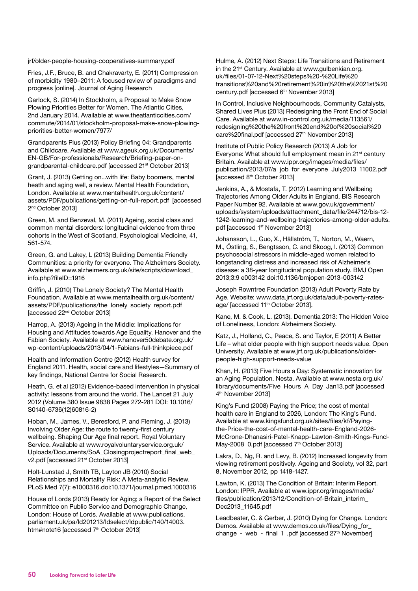jrf/older-people-housing-cooperatives-summary.pdf

Fries, J.F., Bruce, B. and Chakravarty, E. (2011) Compression of morbidity 1980–2011: A focused review of paradigms and progress [online]. Journal of Aging Research

Garlock, S. (2014) In Stockholm, a Proposal to Make Snow Plowing Priorities Better for Women. The Atlantic Cities, 2nd January 2014. Available at www.theatlanticcities.com/ commute/2014/01/stockholm-proposal-make-snow-plowingpriorities-better-women/7977/

Grandparents Plus (2013) Policy Briefing 04: Grandparents and Childcare. Available at www.ageuk.org.uk/Documents/ EN-GB/For-professionals/Research/Briefing-paper-ongrandparental-childcare.pdf [accessed 21<sup>st</sup> October 2013]

Grant, J. (2013) Getting on...with life: Baby boomers, mental heath and aging well, a review. Mental Health Foundation, London. Available at www.mentalhealth.org.uk/content/ assets/PDF/publications/getting-on-full-report.pdf [accessed 2<sup>nd</sup> October 2013]

Green, M. and Benzeval, M. (2011) Ageing, social class and common mental disorders: longitudinal evidence from three cohorts in the West of Scotland, Psychological Medicine, 41, 561-574.

Green, G. and Lakey, L (2013) Building Dementia Friendly Communities: a priority for everyone. The Alzheimers Society. Available at www.alzheimers.org.uk/site/scripts/download\_ info.php?fileID=1916

Griffin, J. (2010) The Lonely Society? The Mental Health Foundation. Available at www.mentalhealth.org.uk/content/ assets/PDF/publications/the\_lonely\_society\_report.pdf [accessed 22nd October 2013]

Harrop, A. (2013) Ageing in the Middle: Implications for Housing and Attitudes towards Age Equality. Hanover and the Fabian Society. Available at www.hanover50debate.org.uk/ wp-content/uploads/2013/04/1-Fabians-full-thinkpiece.pdf

Health and Information Centre (2012) Health survey for England 2011. Health, social care and lifestyles—Summary of key findings, National Centre for Social Research.

Heath, G. et al (2012) Evidence-based intervention in physical activity: lessons from around the world. The Lancet 21 July 2012 (Volume 380 Issue 9838 Pages 272-281 DOI: 10.1016/ S0140-6736(12)60816-2)

Hoban, M., James, V., Beresford, P. and Fleming, J. (2013) Involving Older Age: the route to twenty-first century wellbeing. Shaping Our Age final report. Royal Voluntary Service. Available at www.royalvoluntaryservice.org.uk/ Uploads/Documents/SoA\_Closingprojectreport\_final\_web\_ v2.pdf [accessed 21st October 2013]

Holt-Lunstad J, Smith TB, Layton JB (2010) Social Relationships and Mortality Risk: A Meta-analytic Review. PLoS Med 7(7): e1000316.doi:10.1371/journal.pmed.1000316

House of Lords (2013) Ready for Aging; a Report of the Select Committee on Public Service and Demographic Change, London: House of Lords. Available at www.publications. parliament.uk/pa/ld201213/ldselect/ldpublic/140/14003. htm#note16 [accessed 7<sup>th</sup> October 2013]

Hulme, A. (2012) Next Steps: Life Transitions and Retirement in the 21<sup>st</sup> Century. Available at www.qulbenkian.org. uk/files/01-07-12-Next%20steps%20-%20Life%20 transitions%20and%20retirement%20in%20the%2021st%20 century.pdf [accessed 6<sup>th</sup> November 2013]

In Control, Inclusive Neighbourhoods, Community Catalysts, Shared Lives Plus (2013) Redesigning the Front End of Social Care. Available at www.in-control.org.uk/media/113561/ redesigning%20the%20front%20end%20of%20social%20 care%20final.pdf [accessed 27<sup>th</sup> November 2013]

Institute of Public Policy Research (2013) A Job for Everyone: What should full employment mean in 21<sup>st</sup> century Britain. Available at www.ippr.org/images/media/files/ publication/2013/07/a\_job\_for\_everyone\_July2013\_11002.pdf [accessed 8th October 2013]

Jenkins, A., & Mostafa, T. (2012) Learning and Wellbeing Trajectories Among Older Adults in England, BIS Research Paper Number 92. Available at www.gov.uk/government/ uploads/system/uploads/attachment\_data/file/244712/bis-12- 1242-learning-and-wellbeing-trajectories-among-older-adults. pdf [accessed 1<sup>st</sup> November 2013]

Johansson, L., Guo, X., Hällström, T., Norton, M., Waern, M., Östling, S., Bengtsson, C. and Skoog, I. (2013) Common psychosocial stressors in middle-aged women related to longstanding distress and increased risk of Alzheimer's disease: a 38-year longitudinal population study. BMJ Open 2013;3:9 e003142 doi:10.1136/bmjopen-2013-003142

Joseph Rowntree Foundation (2013) Adult Poverty Rate by Age. Website: www.data.jrf.org.uk/data/adult-poverty-ratesage/ [accessed 11<sup>th</sup> October 2013].

Kane, M. & Cook, L. (2013). Dementia 2013: The Hidden Voice of Loneliness, London: Alzheimers Society.

Katz, J., Holland, C., Peace, S. and Taylor, E (2011) A Better Life – what older people with high support needs value. Open University. Available at www.jrf.org.uk/publications/olderpeople-high-support-needs-value

Khan, H. (2013) Five Hours a Day: Systematic innovation for an Aging Population. Nesta. Available at www.nesta.org.uk/ library/documents/Five\_Hours\_A\_Day\_Jan13.pdf [accessed 4th November 2013]

King's Fund (2008) Paying the Price; the cost of mental health care in England to 2026, London: The King's Fund. Available at www.kingsfund.org.uk/sites/files/kf/Payingthe-Price-the-cost-of-mental-health-care-England-2026- McCrone-Dhanasiri-Patel-Knapp-Lawton-Smith-Kings-Fund-May-2008\_0.pdf [accessed 7<sup>th</sup> October 2013]

Lakra, D., Ng, R. and Levy, B. (2012) Increased longevity from viewing retirement positively. Ageing and Society, vol 32, part 8, November 2012, pp 1418-1427.

Lawton, K. (2013) The Condition of Britain: Interim Report. London: IPPR. Available at www.ippr.org/images/media/ files/publication/2013/12/Condition-of-Britain\_interim\_ Dec2013\_11645.pdf

Leadbeater, C. & Gerber, J. (2010) Dying for Change. London: Demos. Available at www.demos.co.uk/files/Dying\_for\_ change\_-\_web\_-\_final\_1\_.pdf [accessed 27<sup>th</sup> November]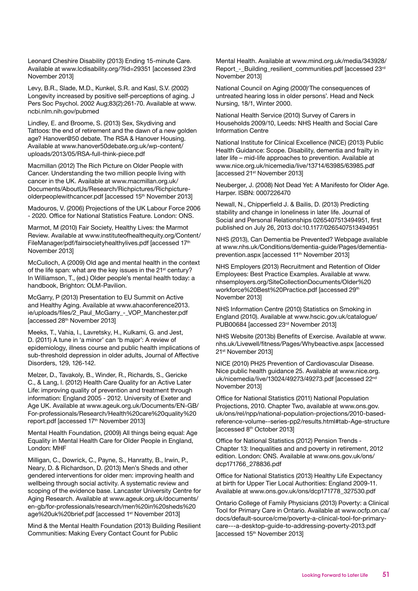Leonard Cheshire Disability (2013) Ending 15-minute Care. Available at www.lcdisability.org/?lid=29351 [accessed 23rd November 2013]

Levy, B.R., Slade, M.D., Kunkel, S.R. and Kasl, S.V. (2002) Longevity increased by positive self-perceptions of aging. J Pers Soc Psychol. 2002 Aug;83(2):261-70. Available at www. ncbi.nlm.nih.gov/pubmed

Lindley, E. and Broome, S. (2013) Sex, Skydiving and Tattoos: the end of retirement and the dawn of a new golden age? Hanover@50 debate. The RSA & Hanover Housing. Available at www.hanover50debate.org.uk/wp-content/ uploads/2013/05/RSA-full-think-piece.pdf

Macmillan (2012) The Rich Picture on Older People with Cancer. Understanding the two million people living with cancer in the UK. Available at www.macmillan.org.uk/ Documents/AboutUs/Research/Richpictures/Richpictureolderpeoplewithcancer.pdf [accessed 15<sup>th</sup> November 2013]

Madouros, V. (2006) Projections of the UK Labour Force 2006 - 2020. Office for National Statistics Feature. London: ONS.

Marmot, M (2010) Fair Society, Healthy Lives: the Marmot Review. Available at www.instituteofhealthequity.org/Content/ FileManager/pdf/fairsocietyhealthylives.pdf [accessed 17th November 2013]

McCulloch, A (2009) Old age and mental health in the context of the life span: what are the key issues in the 21<sup>st</sup> century? In Williamson, T., (ed.) Older people's mental health today: a handbook, Brighton: OLM-Pavilion.

McGarry, P (2013) Presentation to EU Summit on Active and Healthy Aging. Available at www.ahaconference2013. ie/uploads/files/2\_Paul\_McGarry\_-\_VOP\_Manchester.pdf [accessed 28th November 2013]

Meeks, T., Vahia, I., Lavretsky, H., Kulkami, G. and Jest, D. (2011) A tune in 'a minor' can 'b major': A review of epidemiology, illness course and public health implications of sub-threshold depression in older adults, Journal of Affective Disorders, 129, 126-142.

Melzer, D., Tavakoly, B., Winder, R., Richards, S., Gericke C., & Lang, I. (2012) Health Care Quality for an Active Later Life: improving quality of prevention and treatment through information: England 2005 - 2012. University of Exeter and Age UK. Available at www.ageuk.org.uk/Documents/EN-GB/ For-professionals/Research/Health%20care%20quality%20 report.pdf [accessed 17<sup>th</sup> November 2013]

Mental Health Foundation, (2009) All things being equal: Age Equality in Mental Health Care for Older People in England, London: MHF

Milligan, C., Dowrick, C., Payne, S., Hanratty, B., Irwin, P., Neary, D. & Richardson, D. (2013) Men's Sheds and other gendered interventions for older men: improving health and wellbeing through social activity. A systematic review and scoping of the evidence base. Lancaster University Centre for Aging Research. Available at www.ageuk.org.uk/documents/ en-gb/for-professionals/research/men%20in%20sheds%20 age%20uk%20brief.pdf [accessed 1<sup>st</sup> November 2013]

Mind & the Mental Health Foundation (2013) Building Resilient Communities: Making Every Contact Count for Public

Mental Health. Available at www.mind.org.uk/media/343928/ Report - Building resilient communities.pdf [accessed 23rd] November 2013]

National Council on Aging (2000)'The consequences of untreated hearing loss in older persons'. Head and Neck Nursing, 18/1, Winter 2000.

National Health Service (2010) Survey of Carers in Households 2009/10, Leeds: NHS Health and Social Care Information Centre

National Institute for Clinical Excellence (NICE) (2013) Public Health Guidance: Scope. Disability, dementia and frailty in later life – mid-life approaches to prevention. Available at www.nice.org.uk/nicemedia/live/13714/63985/63985.pdf [accessed 21st November 2013]

Neuberger, J. (2008) Not Dead Yet: A Manifesto for Older Age. Harper. ISBN: 0007226470

Newall, N., Chipperfield J. & Bailis, D. (2013) Predicting stability and change in loneliness in later life. Journal of Social and Personal Relationships 0265407513494951, first published on July 26, 2013 doi:10.1177/0265407513494951

NHS (2013), Can Dementia be Prevented? Webpage available at www.nhs.uk/Conditions/dementia-guide/Pages/dementiaprevention.aspx [accessed 11<sup>th</sup> November 2013]

NHS Employers (2013) Recruitment and Retention of Older Employees: Best Practice Examples. Available at www. nhsemployers.org/SiteCollectionDocuments/Older%20 workforce%20Best%20Practice.pdf [accessed 29th November 2013]

NHS Information Centre (2010) Statistics on Smoking in England (2010). Available at www.hscic.gov.uk/catalogue/ PUB00684 [accessed 23rd November 2013]

NHS Website (2013b) Benefits of Exercise. Available at www. nhs.uk/Livewell/fitness/Pages/Whybeactive.aspx [accessed 21st November 2013]

NICE (2010) PH25 Prevention of Cardiovascular Disease. Nice public health guidance 25. Available at www.nice.org. uk/nicemedia/live/13024/49273/49273.pdf [accessed 22<sup>nd</sup> November 2013]

Office for National Statistics (2011) National Population Projections, 2010. Chapter Two, available at www.ons.gov. uk/ons/rel/npp/national-population-projections/2010-basedreference-volume--series-pp2/results.html#tab-Age-structure [accessed 8th October 2013]

Office for National Statistics (2012) Pension Trends - Chapter 13: Inequalities and and poverty in retirement, 2012 edition. London: ONS. Available at www.ons.gov.uk/ons/ dcp171766\_278836.pdf

Office for National Statistics (2013) Healthy Life Expectancy at birth for Upper Tier Local Authorities: England 2009-11. Available at www.ons.gov.uk/ons/dcp171778\_327530.pdf

Ontario College of Family Physicians (2013) Poverty: a Clinical Tool for Primary Care in Ontario. Available at www.ocfp.on.ca/ docs/default-source/cme/poverty-a-clinical-tool-for-primarycare---a-desktop-guide-to-addressing-poverty-2013.pdf [accessed 15th November 2013]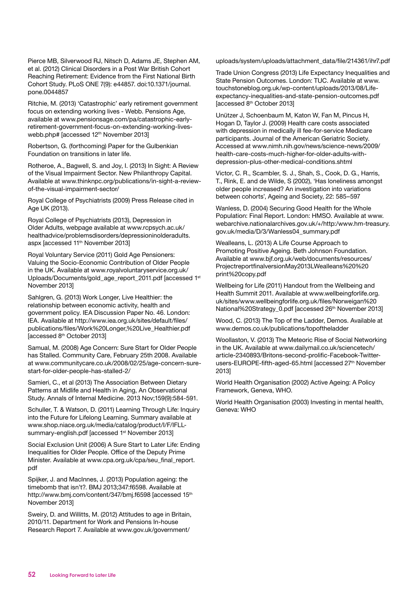Pierce MB, Silverwood RJ, Nitsch D, Adams JE, Stephen AM, et al. (2012) Clinical Disorders in a Post War British Cohort Reaching Retirement: Evidence from the First National Birth Cohort Study. PLoS ONE 7(9): e44857. doi:10.1371/journal. pone.0044857

Ritchie, M. (2013) 'Catastrophic' early retirement government focus on extending working lives - Webb. Pensions Age, available at www.pensionsage.com/pa/catastrophic-earlyretirement-government-focus-on-extending-working-liveswebb.php# [accessed 12<sup>th</sup> November 2013]

Robertson, G. (forthcoming) Paper for the Gulbenkian Foundation on transitions in later life.

Rotheroe, A., Bagwell, S. and Joy, I. (2013) In Sight: A Review of the Visual Impairment Sector. New Philanthropy Capital. Available at www.thinknpc.org/publications/in-sight-a-reviewof-the-visual-impairment-sector/

Royal College of Psychiatrists (2009) Press Release cited in Age UK (2013).

Royal College of Psychiatrists (2013), Depression in Older Adults, webpage available at www.rcpsych.ac.uk/ healthadvice/problemsdisorders/depressioninolderadults. aspx [accessed 11th November 2013]

Royal Voluntary Service (2011) Gold Age Pensioners: Valuing the Socio-Economic Contribution of Older People in the UK. Available at www.royalvoluntaryservice.org.uk/ Uploads/Documents/gold\_age\_report\_2011.pdf [accessed 1st November 2013]

Sahlgren, G. (2013) Work Longer, Live Healthier: the relationship between economic activity, health and government policy. IEA Discussion Paper No. 46. London: IEA. Available at http://www.iea.org.uk/sites/default/files/ publications/files/Work%20Longer,%20Live\_Healthier.pdf [accessed 8th October 2013]

Samual, M. (2008) Age Concern: Sure Start for Older People has Stalled. Community Care, February 25th 2008. Available at www.communitycare.co.uk/2008/02/25/age-concern-surestart-for-older-people-has-stalled-2/

Samieri, C., et al (2013) The Association Between Dietary Patterns at Midlife and Health in Aging, An Observational Study. Annals of Internal Medicine. 2013 Nov;159(9):584-591.

Schuller, T. & Watson, D. (2011) Learning Through Life: Inquiry into the Future for Lifelong Learning. Summary available at www.shop.niace.org.uk/media/catalog/product/I/F/IFLLsummary-english.pdf [accessed 1<sup>st</sup> November 2013]

Social Exclusion Unit (2006) A Sure Start to Later Life: Ending Inequalities for Older People. Office of the Deputy Prime Minister. Available at www.cpa.org.uk/cpa/seu\_final\_report. pdf

Spijker, J. and MacInnes, J. (2013) Population ageing: the timebomb that isn't?. BMJ 2013;347:f6598. Available at http://www.bmj.com/content/347/bmj.f6598 [accessed 15<sup>th</sup> November 2013]

Sweiry, D. and Willitts, M. (2012) Attitudes to age in Britain, 2010/11. Department for Work and Pensions In-house Research Report 7. Available at www.gov.uk/government/

uploads/system/uploads/attachment\_data/file/214361/ihr7.pdf

Trade Union Congress (2013) Life Expectancy Inequalities and State Pension Outcomes. London: TUC. Available at www. touchstoneblog.org.uk/wp-content/uploads/2013/08/Lifeexpectancy-inequalities-and-state-pension-outcomes.pdf [accessed 8th October 2013]

Unützer J, Schoenbaum M, Katon W, Fan M, Pincus H, Hogan D, Taylor J. (2009) Health care costs associated with depression in medically ill fee-for-service Medicare participants. Journal of the American Geriatric Society. Accessed at www.nimh.nih.gov/news/science-news/2009/ health-care-costs-much-higher-for-older-adults-withdepression-plus-other-medical-conditions.shtml

Victor, C. R., Scambler, S. J., Shah, S., Cook, D. G., Harris, T., Rink, E. and de Wilde, S (2002), 'Has loneliness amongst older people increased? An investigation into variations between cohorts', Ageing and Society, 22: 585–597

Wanless, D. (2004) Securing Good Health for the Whole Population: Final Report. London: HMSO. Available at www. webarchive.nationalarchives.gov.uk/+/http:/www.hm-treasury. gov.uk/media/D/3/Wanless04\_summary.pdf

Wealleans, L. (2013) A Life Course Approach to Promoting Positive Ageing. Beth Johnson Foundation. Available at www.bjf.org.uk/web/documents/resources/ ProjectreportfinalversionMay2013LWealleans%20%20 print%20copy.pdf

Wellbeing for Life (2011) Handout from the Wellbeing and Health Summit 2011. Available at www.wellbeingforlife.org. uk/sites/www.wellbeingforlife.org.uk/files/Norweigan%20 National%20Strategy\_0.pdf [accessed 26<sup>th</sup> November 2013]

Wood, C. (2013) The Top of the Ladder, Demos. Available at www.demos.co.uk/publications/topoftheladder

Woollaston, V. (2013) The Meteoric Rise of Social Networking in the UK. Available at www.dailymail.co.uk/sciencetech/ article-2340893/Britons-second-prolific-Facebook-Twitterusers-EUROPE-fifth-aged-65.html [accessed 27<sup>th</sup> November 2013]

World Health Organisation (2002) Active Ageing: A Policy Framework, Geneva, WHO.

World Health Organisation (2003) Investing in mental health, Geneva: WHO